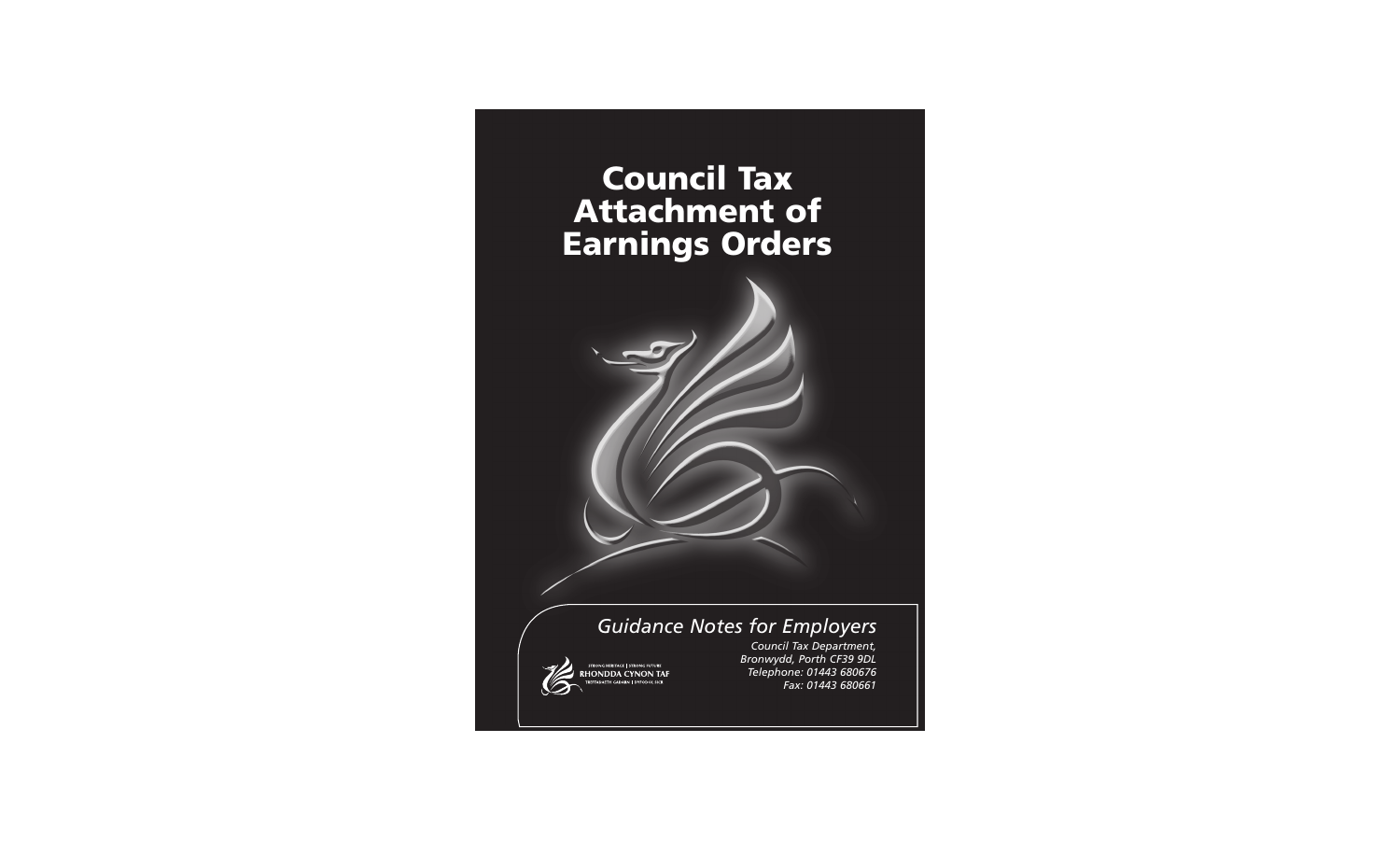# **Council Tax Council Tax Attachment of Attachment of Earnings Orders Earnings Orders**

## *Guidance Notes for Employers*



*Council Tax Department, Bronwydd, Porth CF39 9DL Telephone: 01443 680676 Fax: 01443 680661*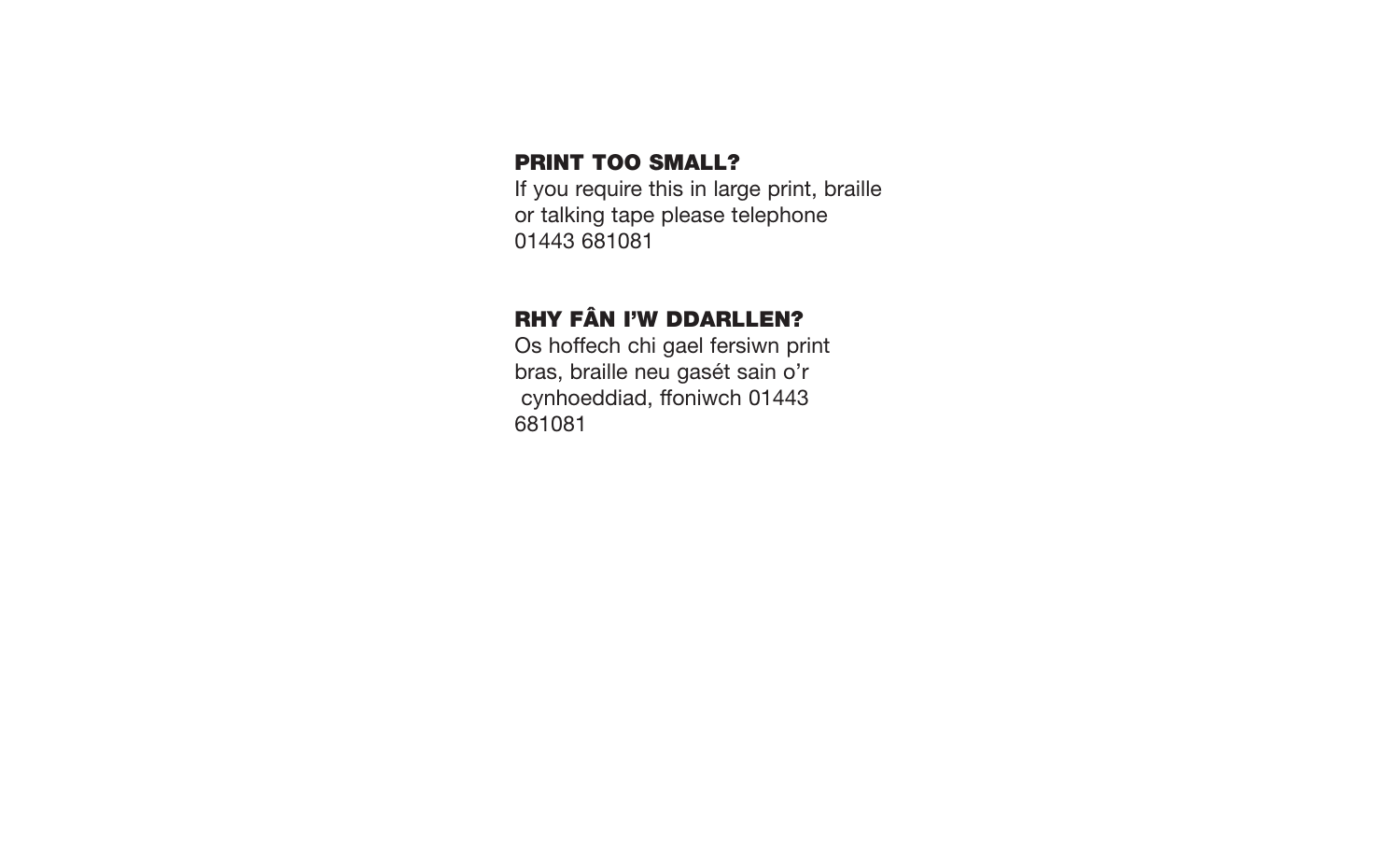## **PRINT TOO SMALL?**

If you require this in large print, braille or talking tape please telephone 01443 681081

# **RHY FÂN I'W DDARLLEN?**

Os hoffech chi gael fersiwn print bras, braille neu gasét sain o'r cynhoeddiad, ffoniwch 01443 681081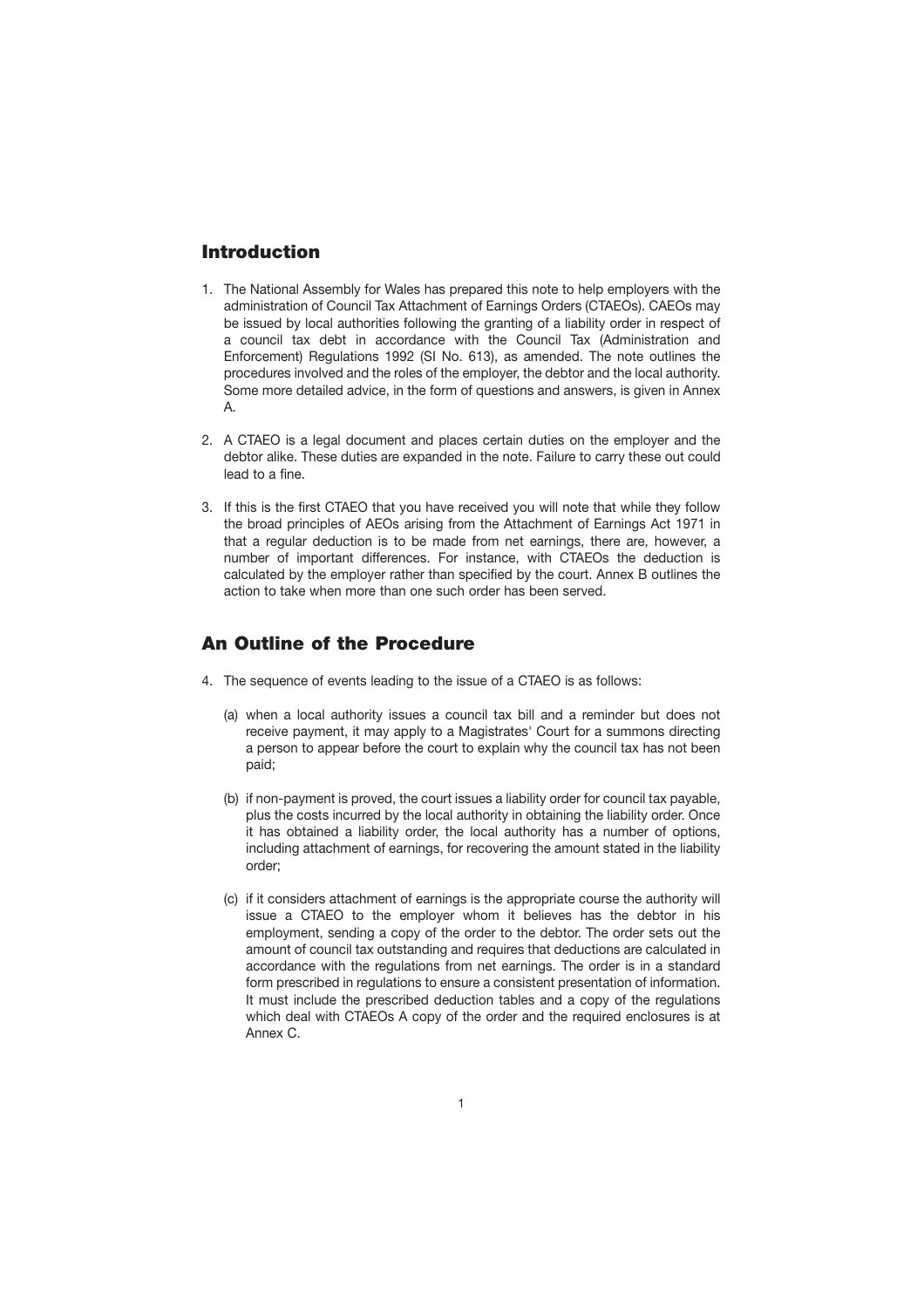## **Introduction**

- 1. The National Assembly for Wales has prepared this note to help employers with the administration of Council Tax Attachment of Earnings Orders (CTAEOs). CAEOs may be issued by local authorities following the granting of a liability order in respect of a council tax debt in accordance with the Council Tax (Administration and Enforcement) Regulations 1992 (SI No. 613), as amended. The note outlines the procedures involved and the roles of the employer, the debtor and the local authority. Some more detailed advice, in the form of questions and answers, is given in Annex A.
- 2. A CTAEO is a legal document and places certain duties on the employer and the debtor alike. These duties are expanded in the note. Failure to carry these out could lead to a fine.
- 3. If this is the first CTAEO that you have received you will note that while they follow the broad principles of AEOs arising from the Attachment of Earnings Act 1971 in that a regular deduction is to be made from net earnings, there are, however, a number of important differences. For instance, with CTAEOs the deduction is calculated by the employer rather than specified by the court. Annex B outlines the action to take when more than one such order has been served.

### **An Outline of the Procedure**

- 4. The sequence of events leading to the issue of a CTAEO is as follows:
	- (a) when a local authority issues a council tax bill and a reminder but does not receive payment, it may apply to a Magistrates' Court for a summons directing a person to appear before the court to explain why the council tax has not been paid;
	- (b) if non-payment is proved, the court issues a liability order for council tax payable, plus the costs incurred by the local authority in obtaining the liability order. Once it has obtained a liability order, the local authority has a number of options, including attachment of earnings, for recovering the amount stated in the liability order;
	- (c) if it considers attachment of earnings is the appropriate course the authority will issue a CTAEO to the employer whom it believes has the debtor in his employment, sending a copy of the order to the debtor. The order sets out the amount of council tax outstanding and requires that deductions are calculated in accordance with the regulations from net earnings. The order is in a standard form prescribed in regulations to ensure a consistent presentation of information. It must include the prescribed deduction tables and a copy of the regulations which deal with CTAEOs A copy of the order and the required enclosures is at Annex C.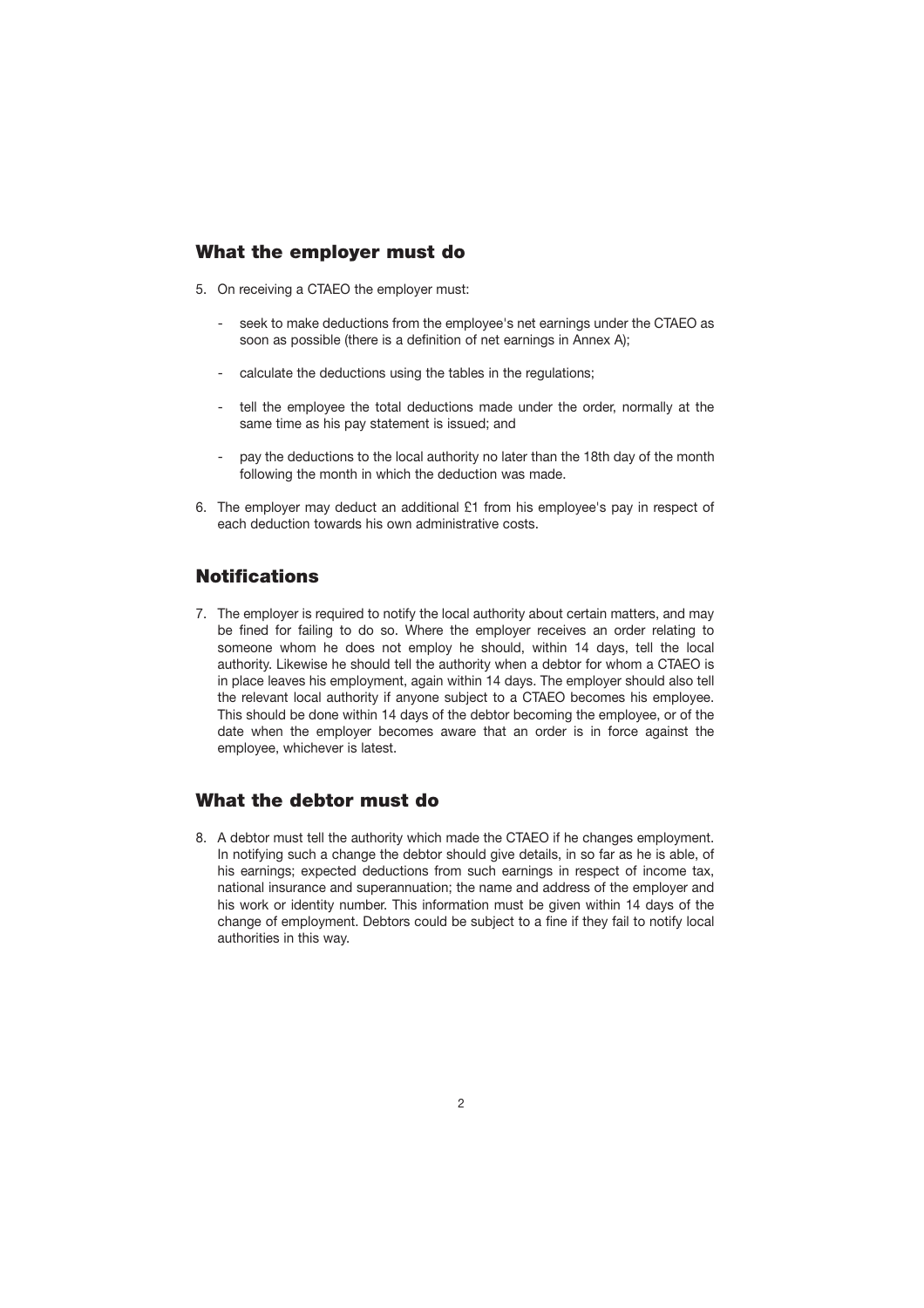## **What the employer must do**

- 5. On receiving a CTAEO the employer must:
	- seek to make deductions from the employee's net earnings under the CTAEO as soon as possible (there is a definition of net earnings in Annex A);
	- calculate the deductions using the tables in the regulations;
	- tell the employee the total deductions made under the order, normally at the same time as his pay statement is issued; and
	- pay the deductions to the local authority no later than the 18th day of the month following the month in which the deduction was made.
- 6. The employer may deduct an additional £1 from his employee's pay in respect of each deduction towards his own administrative costs.

## **Notifications**

7. The employer is required to notify the local authority about certain matters, and may be fined for failing to do so. Where the employer receives an order relating to someone whom he does not employ he should, within 14 days, tell the local authority. Likewise he should tell the authority when a debtor for whom a CTAEO is in place leaves his employment, again within 14 days. The employer should also tell the relevant local authority if anyone subject to a CTAEO becomes his employee. This should be done within 14 days of the debtor becoming the employee, or of the date when the employer becomes aware that an order is in force against the employee, whichever is latest.

### **What the debtor must do**

8. A debtor must tell the authority which made the CTAEO if he changes employment. In notifying such a change the debtor should give details, in so far as he is able, of his earnings; expected deductions from such earnings in respect of income tax, national insurance and superannuation; the name and address of the employer and his work or identity number. This information must be given within 14 days of the change of employment. Debtors could be subject to a fine if they fail to notify local authorities in this way.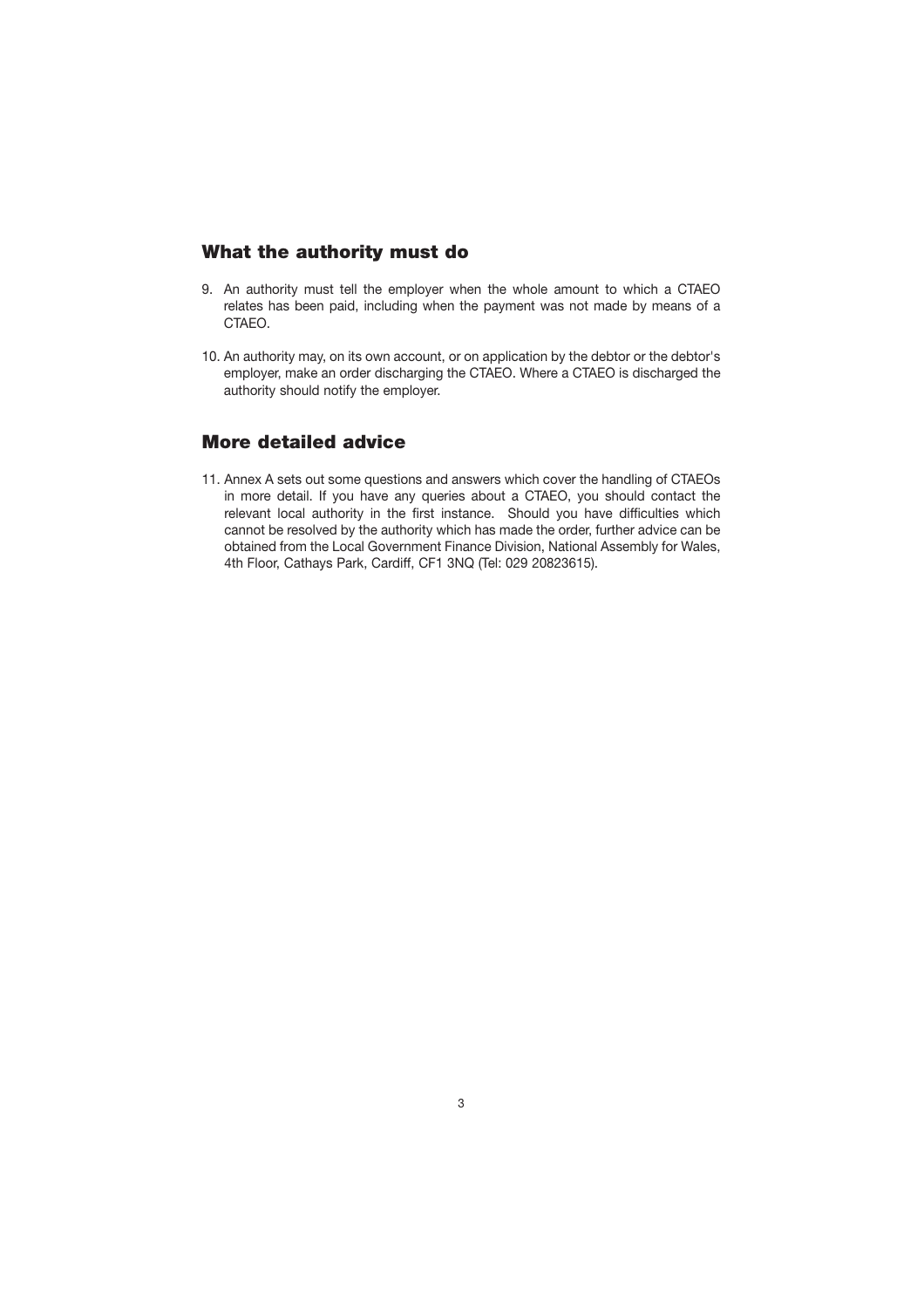## <span id="page-4-0"></span>**What the authority must do**

- 9. An authority must tell the employer when the whole amount to which a CTAEO relates has been paid, including when the payment was not made by means of a CTAEO.
- 10. An authority may, on its own account, or on application by the debtor or the debtor's employer, make an order discharging the CTAEO. Where a CTAEO is discharged the authority should notify the employer.

## **More detailed advice**

11. Annex A sets out some questions and answers which cover the handling of CTAEOs in more detail. If you have any queries about a CTAEO, you should contact the relevant local authority in the first instance. Should you have difficulties which cannot be resolved by the authority which has made the order, further advice can be obtained from the Local Government Finance Division, National Assembly for Wales, 4th Floor, Cathays Park, Cardiff, CF1 3NQ (Tel: 029 20823615).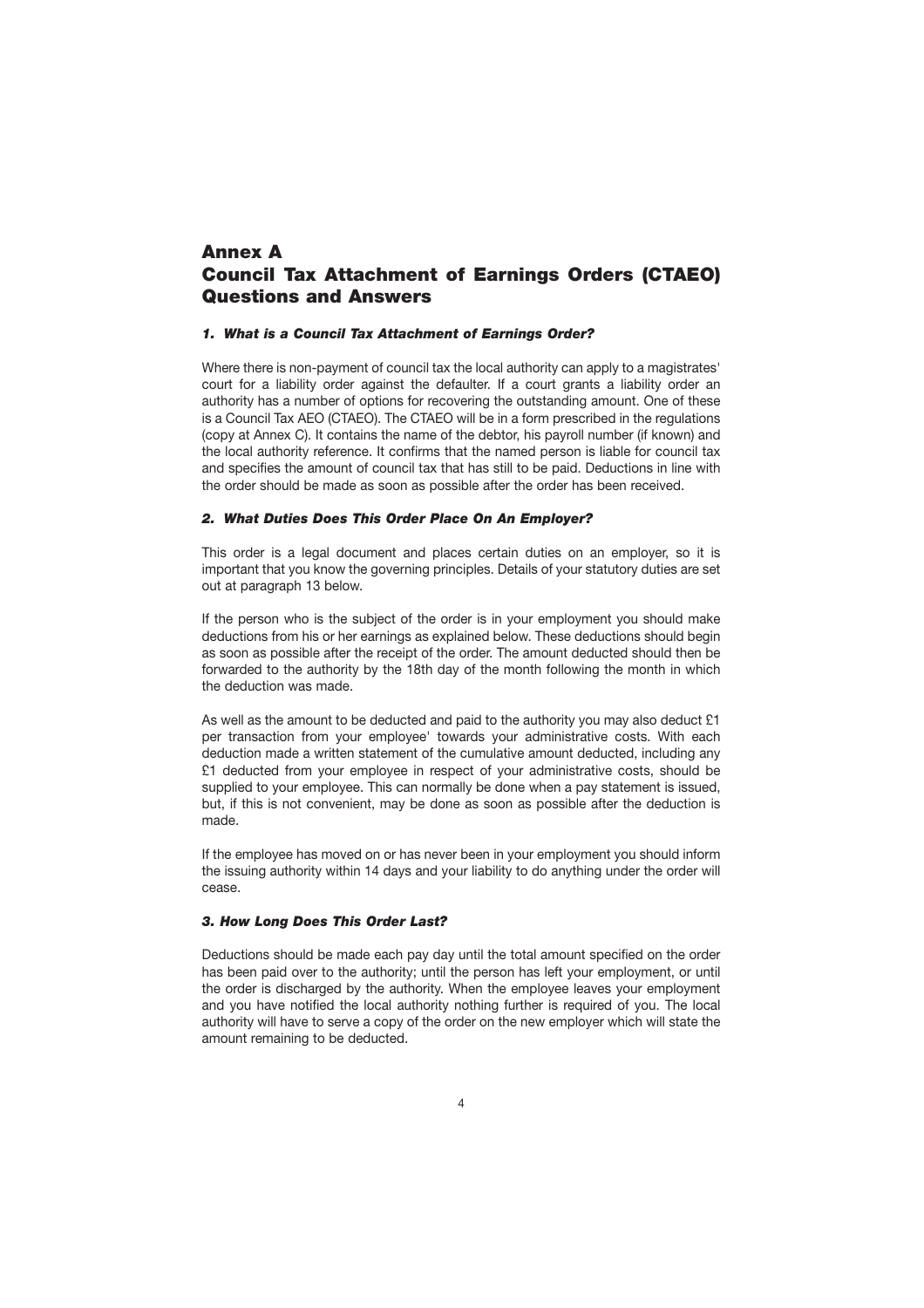## <span id="page-5-0"></span>**Annex A Council Tax Attachment of Earnings Orders (CTAEO) Questions and Answers**

#### *1. What is a Council Tax Attachment of Earnings Order?*

Where there is non-payment of council tax the local authority can apply to a magistrates' court for a liability order against the defaulter. If a court grants a liability order an authority has a number of options for recovering the outstanding amount. One of these is a Council Tax AEO (CTAEO). The CTAEO will be in a form prescribed in the regulations (copy at Annex C). It contains the name of the debtor, his payroll number (if known) and the local authority reference. It confirms that the named person is liable for council tax and specifies the amount of council tax that has still to be paid. Deductions in line with the order should be made as soon as possible after the order has been received.

#### *2. What Duties Does This Order Place On An Employer?*

This order is a legal document and places certain duties on an employer, so it is important that you know the governing principles. Details of your statutory duties are set out at paragraph 13 below.

If the person who is the subject of the order is in your employment you should make deductions from his or her earnings as explained below. These deductions should begin as soon as possible after the receipt of the order. The amount deducted should then be forwarded to the authority by the 18th day of the month following the month in which the deduction was made.

As well as the amount to be deducted and paid to the authority you may also deduct £1 per transaction from your employee' towards your administrative costs. With each deduction made a written statement of the cumulative amount deducted, including any £1 deducted from your employee in respect of your administrative costs, should be supplied to your employee. This can normally be done when a pay statement is issued, but, if this is not convenient, may be done as soon as possible after the deduction is made.

If the employee has moved on or has never been in your employment you should inform the issuing authority within 14 days and your liability to do anything under the order will cease.

#### *3. How Long Does This Order Last?*

Deductions should be made each pay day until the total amount specified on the order has been paid over to the authority; until the person has left your employment, or until the order is discharged by the authority. When the employee leaves your employment and you have notified the local authority nothing further is required of you. The local authority will have to serve a copy of the order on the new employer which will state the amount remaining to be deducted.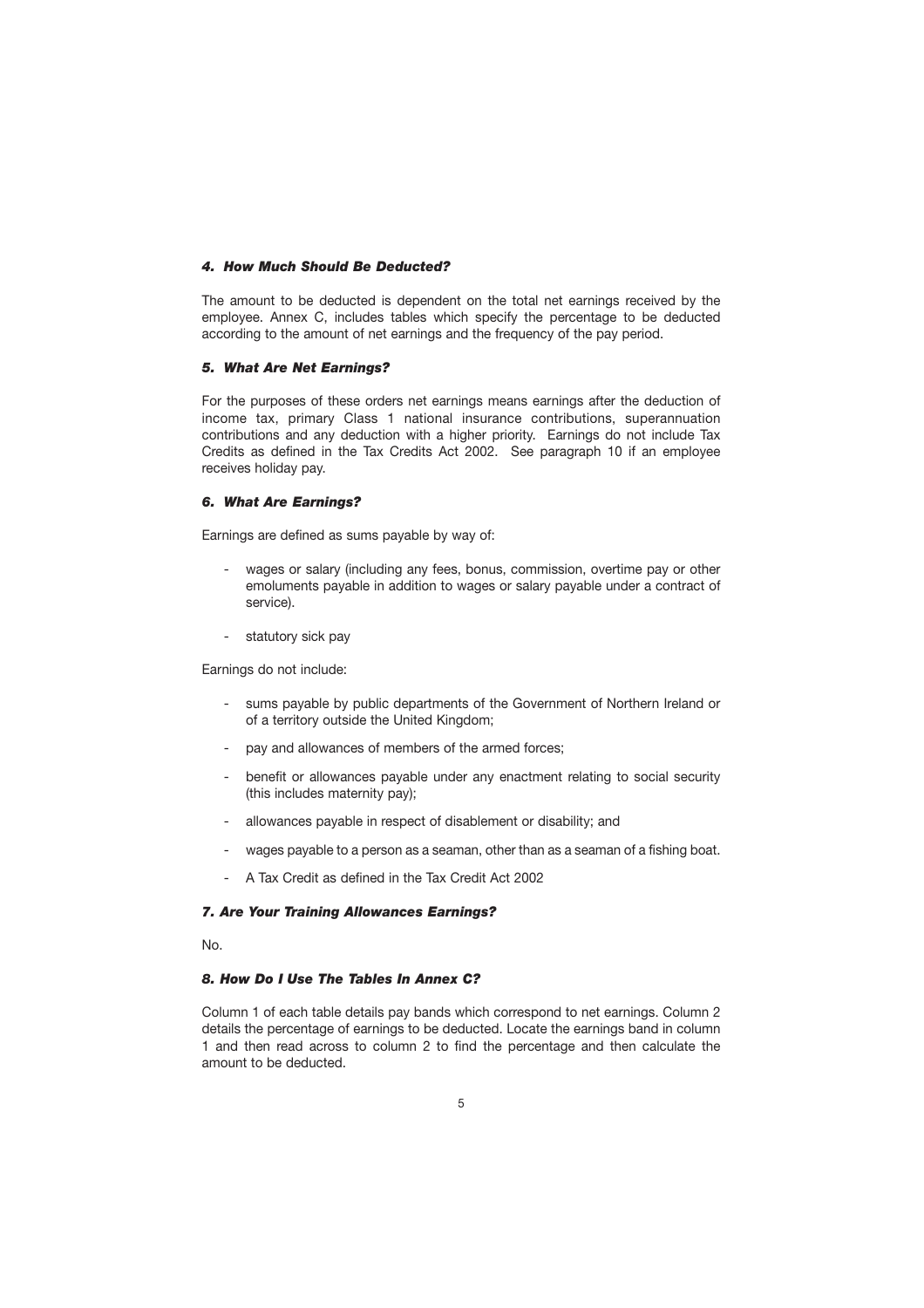#### <span id="page-6-0"></span>*4. How Much Should Be Deducted?*

The amount to be deducted is dependent on the total net earnings received by the employee. Annex C, includes tables which specify the percentage to be deducted according to the amount of net earnings and the frequency of the pay period.

#### *5. What Are Net Earnings?*

For the purposes of these orders net earnings means earnings after the deduction of income tax, primary Class 1 national insurance contributions, superannuation contributions and any deduction with a higher priority. Earnings do not include Tax Credits as defined in the Tax Credits Act 2002. See paragraph 10 if an employee receives holiday pay.

#### *6. What Are Earnings?*

Earnings are defined as sums payable by way of:

- wages or salary (including any fees, bonus, commission, overtime pay or other emoluments payable in addition to wages or salary payable under a contract of service).
- statutory sick pay

Earnings do not include:

- sums payable by public departments of the Government of Northern Ireland or of a territory outside the United Kingdom;
- pay and allowances of members of the armed forces:
- benefit or allowances payable under any enactment relating to social security (this includes maternity pay);
- allowances payable in respect of disablement or disability; and
- wages payable to a person as a seaman, other than as a seaman of a fishing boat.
- A Tax Credit as defined in the Tax Credit Act 2002

#### *7. Are Your Training Allowances Earnings?*

No.

#### *8. How Do I Use The Tables In Annex C?*

Column 1 of each table details pay bands which correspond to net earnings. Column 2 details the percentage of earnings to be deducted. Locate the earnings band in column 1 and then read across to column 2 to find the percentage and then calculate the amount to be deducted.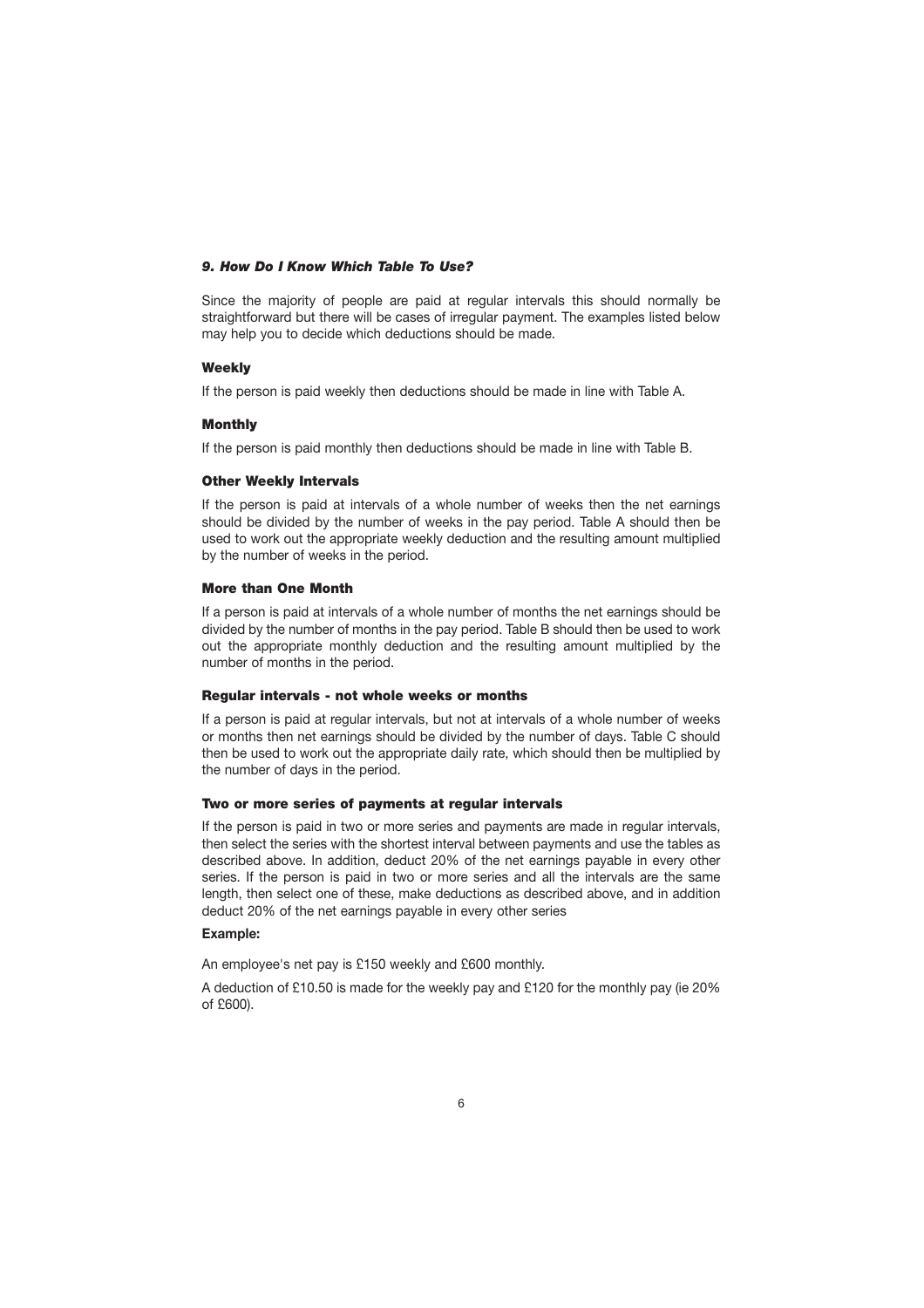#### *9. How Do I Know Which Table To Use?*

Since the majority of people are paid at regular intervals this should normally be straightforward but there will be cases of irregular payment. The examples listed below may help you to decide which deductions should be made.

#### **Weekly**

If the person is paid weekly then deductions should be made in line with Table A.

#### **Monthly**

If the person is paid monthly then deductions should be made in line with Table B.

#### **Other Weekly Intervals**

If the person is paid at intervals of a whole number of weeks then the net earnings should be divided by the number of weeks in the pay period. Table A should then be used to work out the appropriate weekly deduction and the resulting amount multiplied by the number of weeks in the period.

#### **More than One Month**

If a person is paid at intervals of a whole number of months the net earnings should be divided by the number of months in the pay period. Table B should then be used to work out the appropriate monthly deduction and the resulting amount multiplied by the number of months in the period.

#### **Regular intervals - not whole weeks or months**

If a person is paid at regular intervals, but not at intervals of a whole number of weeks or months then net earnings should be divided by the number of days. Table C should then be used to work out the appropriate daily rate, which should then be multiplied by the number of days in the period.

#### **Two or more series of payments at regular intervals**

If the person is paid in two or more series and payments are made in regular intervals, then select the series with the shortest interval between payments and use the tables as described above. In addition, deduct 20% of the net earnings payable in every other series. If the person is paid in two or more series and all the intervals are the same length, then select one of these, make deductions as described above, and in addition deduct 20% of the net earnings payable in every other series

#### **Example:**

An employee's net pay is £150 weekly and £600 monthly.

A deduction of £10.50 is made for the weekly pay and £120 for the monthly pay (ie 20% of £600).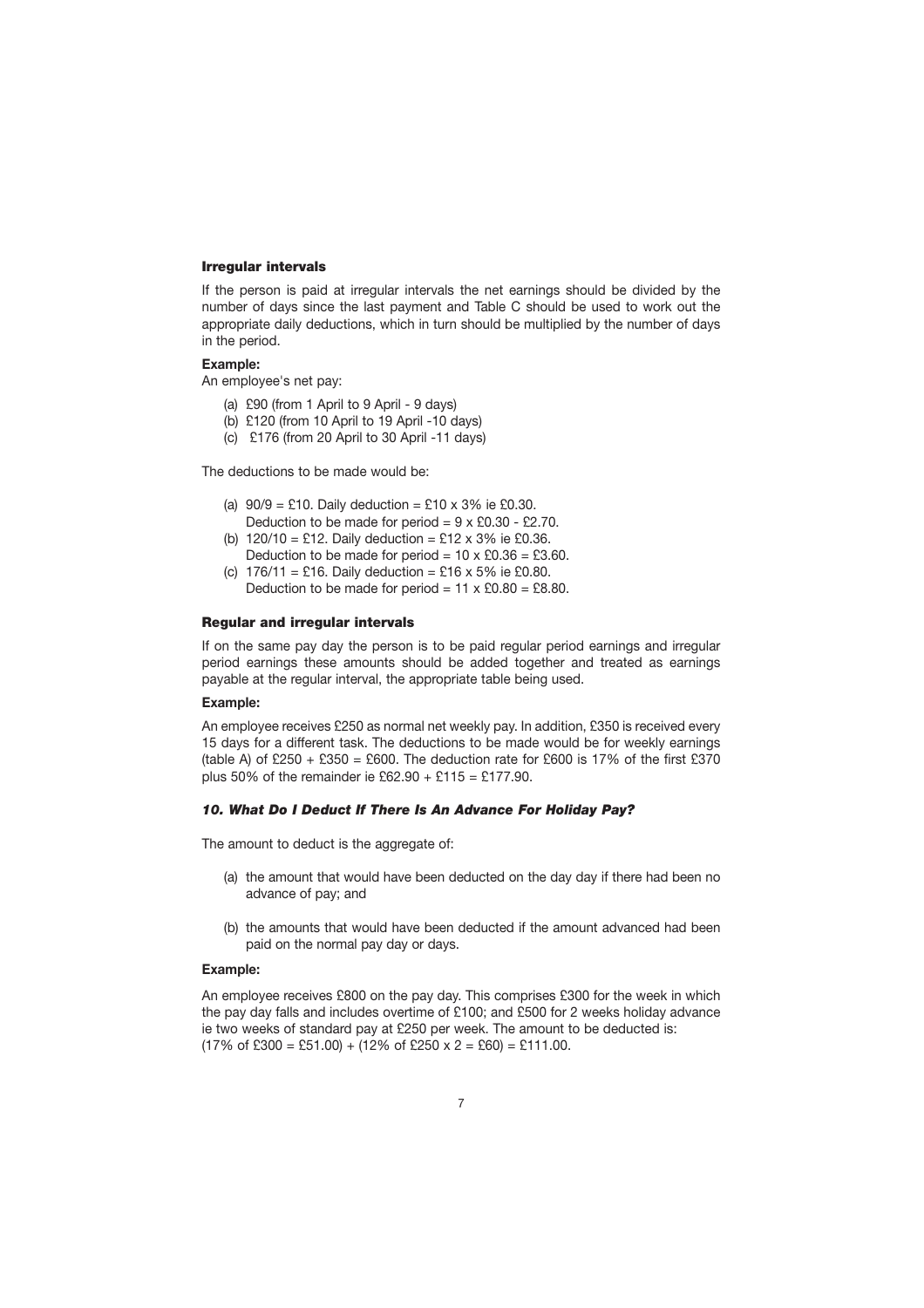#### <span id="page-8-0"></span>**Irregular intervals**

If the person is paid at irregular intervals the net earnings should be divided by the number of days since the last payment and Table C should be used to work out the appropriate daily deductions, which in turn should be multiplied by the number of days in the period.

#### **Example:**

An employee's net pay:

- (a) £90 (from 1 April to 9 April 9 days)
- (b) £120 (from 10 April to 19 April -10 days)
- (c) £176 (from 20 April to 30 April -11 days)

The deductions to be made would be:

- (a)  $90/9 = £10$ . Daily deduction = £10 x 3% ie £0.30. Deduction to be made for period =  $9 \times £0.30 - £2.70$ .
- (b)  $120/10 = £12$ . Daily deduction = £12 x 3% ie £0.36. Deduction to be made for period =  $10 \times £0.36 = £3.60$ .
- (c)  $176/11 = £16$ . Daily deduction = £16 x 5% ie £0.80. Deduction to be made for period =  $11 \times £0.80 = £8.80$ .

#### **Regular and irregular intervals**

If on the same pay day the person is to be paid regular period earnings and irregular period earnings these amounts should be added together and treated as earnings payable at the regular interval, the appropriate table being used.

#### **Example:**

An employee receives £250 as normal net weekly pay. In addition, £350 is received every 15 days for a different task. The deductions to be made would be for weekly earnings (table A) of £250 + £350 = £600. The deduction rate for £600 is 17% of the first £370 plus 50% of the remainder ie £62.90 + £115 = £177.90.

#### *10. What Do I Deduct If There Is An Advance For Holiday Pay?*

The amount to deduct is the aggregate of:

- (a) the amount that would have been deducted on the day day if there had been no advance of pay; and
- (b) the amounts that would have been deducted if the amount advanced had been paid on the normal pay day or days.

#### **Example:**

An employee receives £800 on the pay day. This comprises £300 for the week in which the pay day falls and includes overtime of £100; and £500 for 2 weeks holiday advance ie two weeks of standard pay at £250 per week. The amount to be deducted is:  $(17\% \text{ of } £300 = £51.00) + (12\% \text{ of } £250 \times 2 = £60) = £111.00.$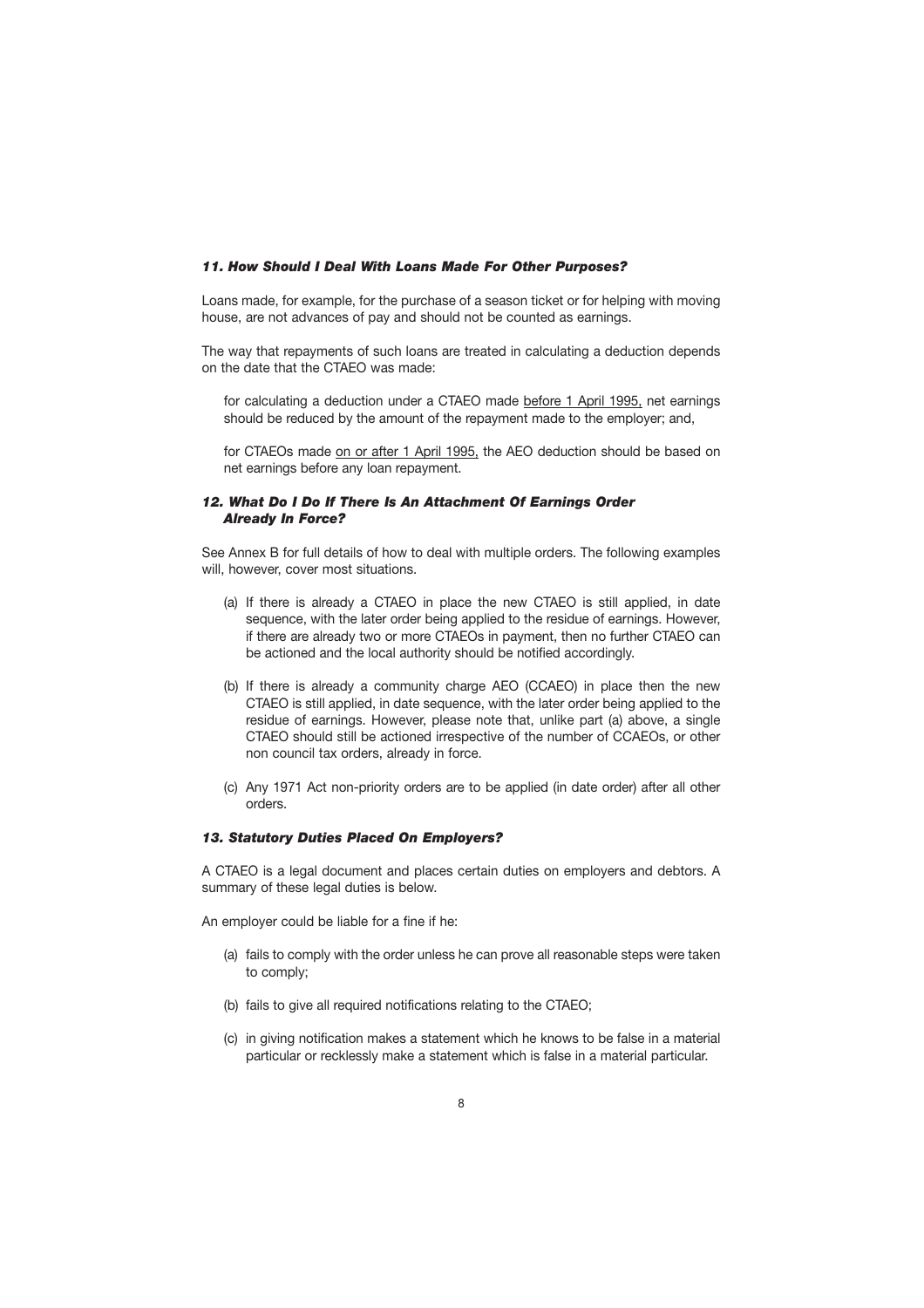#### *11. How Should I Deal With Loans Made For Other Purposes?*

Loans made, for example, for the purchase of a season ticket or for helping with moving house, are not advances of pay and should not be counted as earnings.

The way that repayments of such loans are treated in calculating a deduction depends on the date that the CTAEO was made:

for calculating a deduction under a CTAEO made before 1 April 1995, net earnings should be reduced by the amount of the repayment made to the employer; and,

for CTAEOs made on or after 1 April 1995, the AEO deduction should be based on net earnings before any loan repayment.

#### *12. What Do I Do If There Is An Attachment Of Earnings Order Already In Force?*

See Annex B for full details of how to deal with multiple orders. The following examples will, however, cover most situations.

- (a) If there is already a CTAEO in place the new CTAEO is still applied, in date sequence, with the later order being applied to the residue of earnings. However, if there are already two or more CTAEOs in payment, then no further CTAEO can be actioned and the local authority should be notified accordingly.
- (b) If there is already a community charge AEO (CCAEO) in place then the new CTAEO is still applied, in date sequence, with the later order being applied to the residue of earnings. However, please note that, unlike part (a) above, a single CTAEO should still be actioned irrespective of the number of CCAEOs, or other non council tax orders, already in force.
- (c) Any 1971 Act non-priority orders are to be applied (in date order) after all other orders.

#### *13. Statutory Duties Placed On Employers?*

A CTAEO is a legal document and places certain duties on employers and debtors. A summary of these legal duties is below.

An employer could be liable for a fine if he:

- (a) fails to comply with the order unless he can prove all reasonable steps were taken to comply;
- (b) fails to give all required notifications relating to the CTAEO;
- (c) in giving notification makes a statement which he knows to be false in a material particular or recklessly make a statement which is false in a material particular.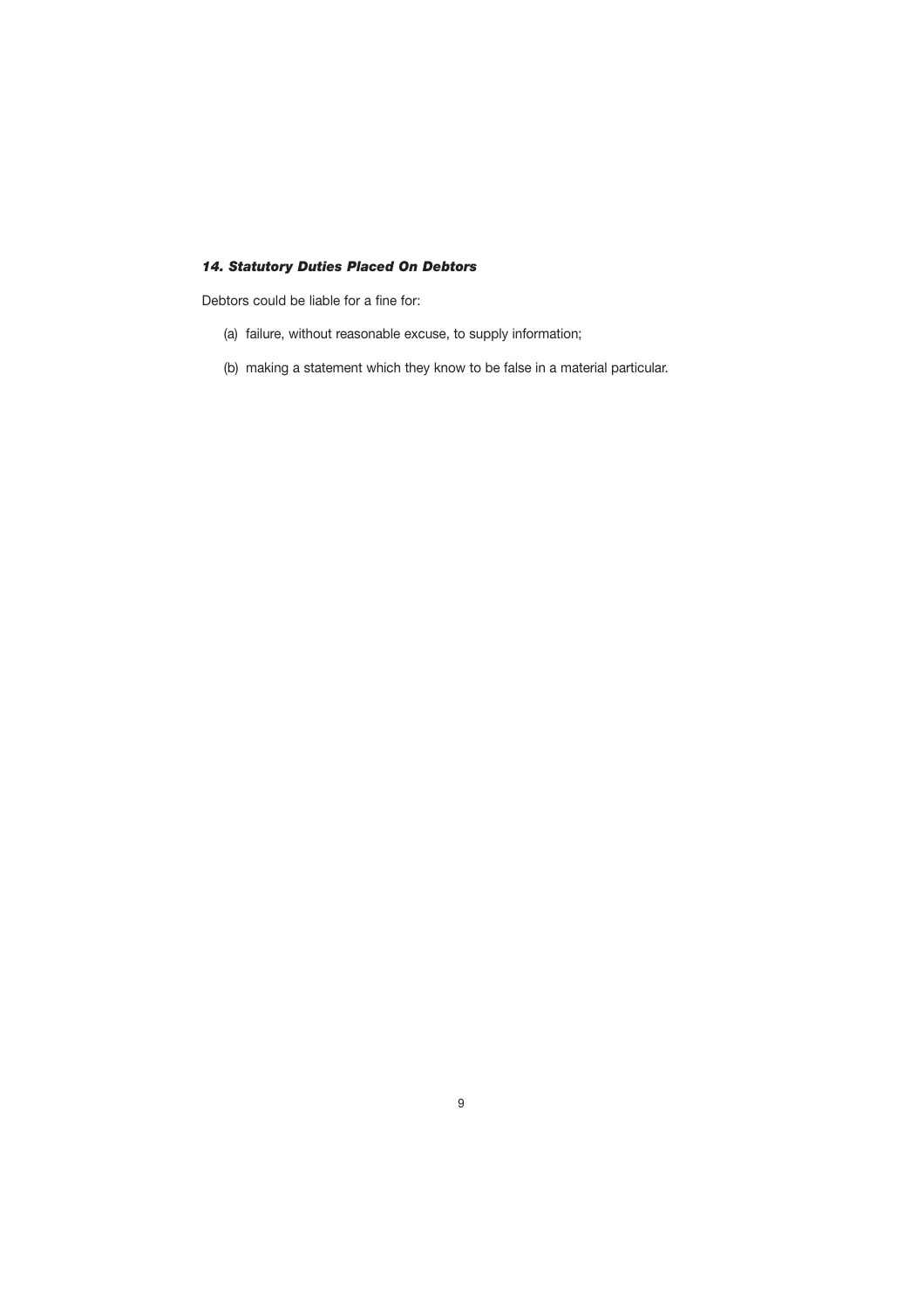#### *14. Statutory Duties Placed On Debtors*

Debtors could be liable for a fine for:

- (a) failure, without reasonable excuse, to supply information;
- (b) making a statement which they know to be false in a material particular.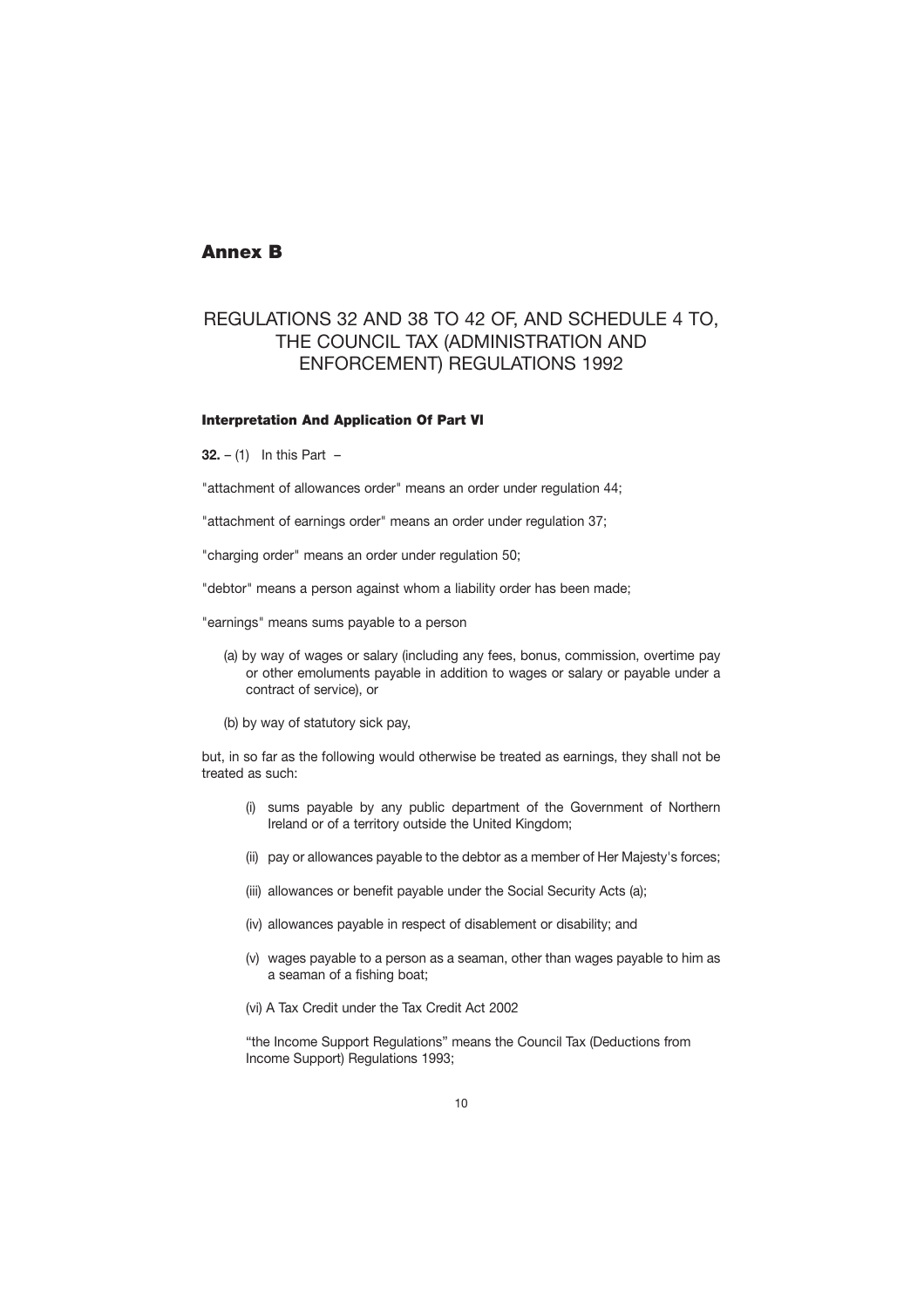## **Annex B**

## REGULATIONS 32 AND 38 TO 42 OF, AND SCHEDULE 4 TO, THE COUNCIL TAX (ADMINISTRATION AND ENFORCEMENT) REGULATIONS 1992

#### **Interpretation And Application Of Part Vl**

**32.** – (1) In this Part –

"attachment of allowances order" means an order under regulation 44;

"attachment of earnings order" means an order under regulation 37;

"charging order" means an order under regulation 50;

"debtor" means a person against whom a liability order has been made;

"earnings" means sums payable to a person

- (a) by way of wages or salary (including any fees, bonus, commission, overtime pay or other emoluments payable in addition to wages or salary or payable under a contract of service), or
- (b) by way of statutory sick pay,

but, in so far as the following would otherwise be treated as earnings, they shall not be treated as such:

- (i) sums payable by any public department of the Government of Northern Ireland or of a territory outside the United Kingdom;
- (ii) pay or allowances payable to the debtor as a member of Her Majesty's forces;
- (iii) allowances or benefit payable under the Social Security Acts (a);
- (iv) allowances payable in respect of disablement or disability; and
- (v) wages payable to a person as a seaman, other than wages payable to him as a seaman of a fishing boat;
- (vi) A Tax Credit under the Tax Credit Act 2002

"the Income Support Regulations" means the Council Tax (Deductions from Income Support) Regulations 1993;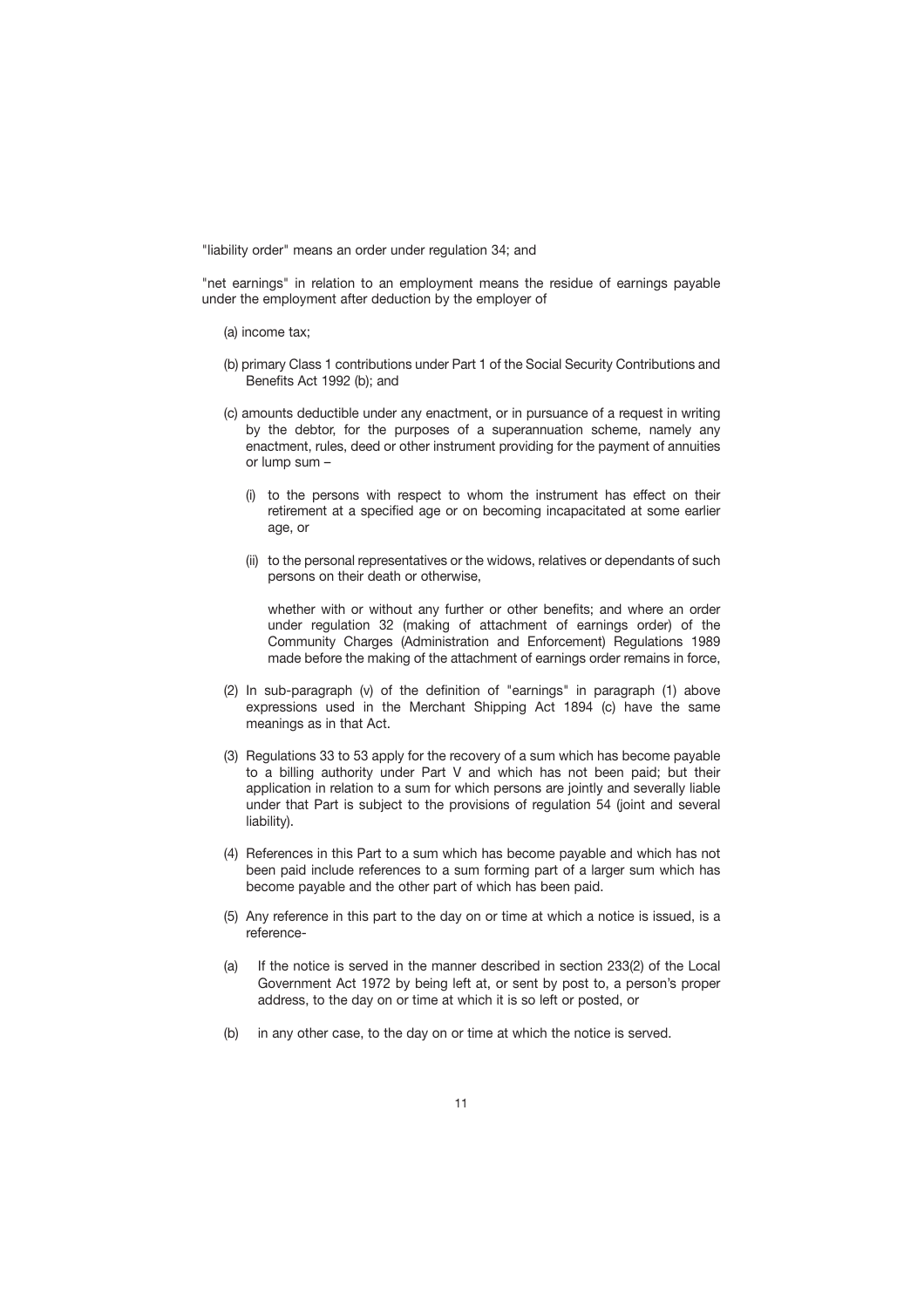"liability order" means an order under regulation 34; and

"net earnings" in relation to an employment means the residue of earnings payable under the employment after deduction by the employer of

- (a) income tax;
- (b) primary Class 1 contributions under Part 1 of the Social Security Contributions and Benefits Act 1992 (b); and
- (c) amounts deductible under any enactment, or in pursuance of a request in writing by the debtor, for the purposes of a superannuation scheme, namely any enactment, rules, deed or other instrument providing for the payment of annuities or lump sum –
	- (i) to the persons with respect to whom the instrument has effect on their retirement at a specified age or on becoming incapacitated at some earlier age, or
	- (ii) to the personal representatives or the widows, relatives or dependants of such persons on their death or otherwise,

whether with or without any further or other benefits; and where an order under regulation 32 (making of attachment of earnings order) of the Community Charges (Administration and Enforcement) Regulations 1989 made before the making of the attachment of earnings order remains in force,

- (2) In sub-paragraph (v) of the definition of "earnings" in paragraph (1) above expressions used in the Merchant Shipping Act 1894 (c) have the same meanings as in that Act.
- (3) Regulations 33 to 53 apply for the recovery of a sum which has become payable to a billing authority under Part V and which has not been paid; but their application in relation to a sum for which persons are jointly and severally liable under that Part is subject to the provisions of regulation 54 (joint and several liability).
- (4) References in this Part to a sum which has become payable and which has not been paid include references to a sum forming part of a larger sum which has become payable and the other part of which has been paid.
- (5) Any reference in this part to the day on or time at which a notice is issued, is a reference-
- (a) If the notice is served in the manner described in section 233(2) of the Local Government Act 1972 by being left at, or sent by post to, a person's proper address, to the day on or time at which it is so left or posted, or
- (b) in any other case, to the day on or time at which the notice is served.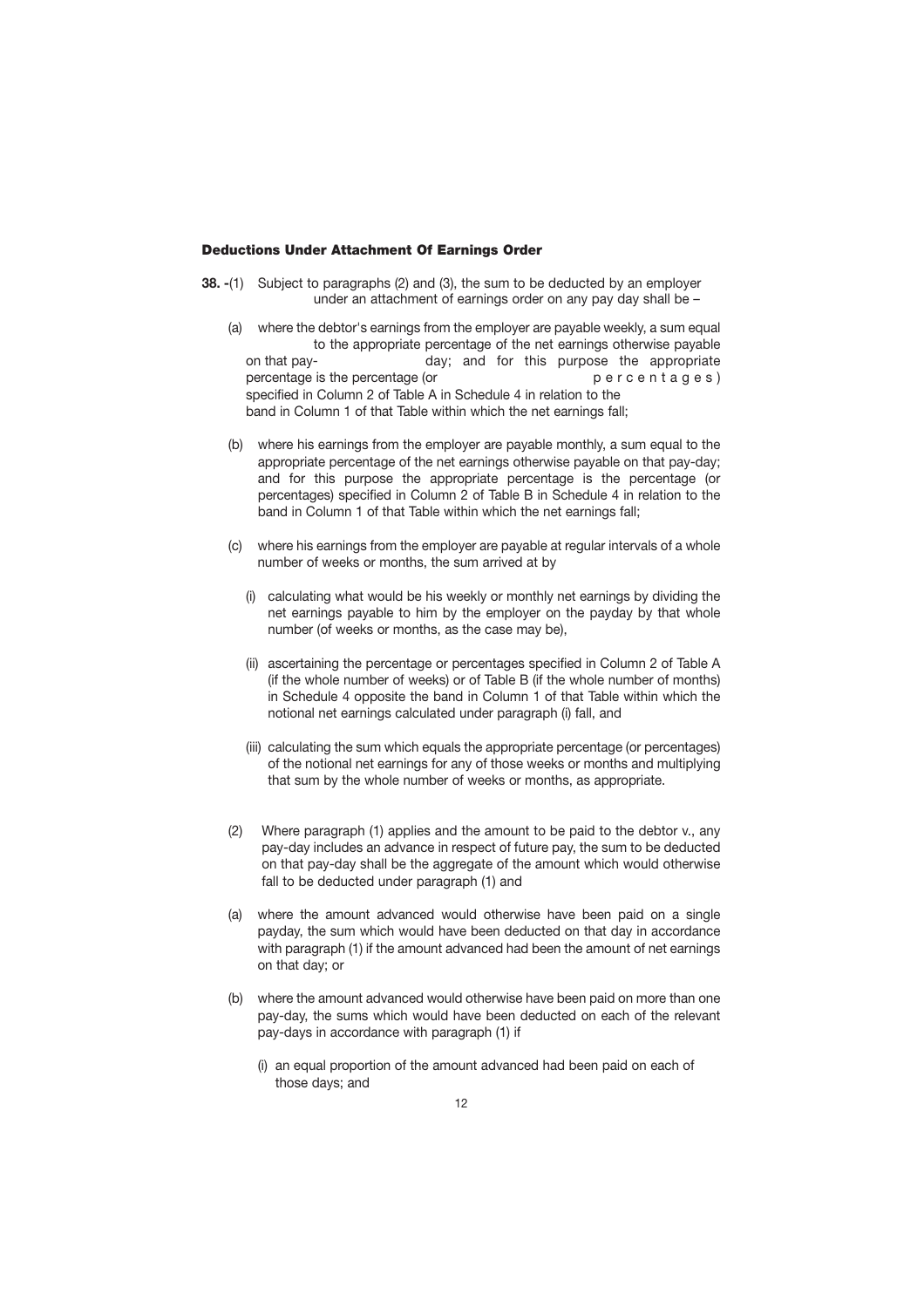#### <span id="page-13-0"></span>**Deductions Under Attachment Of Earnings Order**

- **38. -**(1) Subject to paragraphs (2) and (3), the sum to be deducted by an employer under an attachment of earnings order on any pay day shall be –
	- on that pay-(a) where the debtor's earnings from the employer are payable weekly, a sum equal to the appropriate percentage of the net earnings otherwise payable day; and for this purpose the appropriate percentage is the percentage (or  $p \in P$  p e r c e n t a g e s ) specified in Column 2 of Table A in Schedule 4 in relation to the band in Column 1 of that Table within which the net earnings fall;
	- (b) where his earnings from the employer are payable monthly, a sum equal to the appropriate percentage of the net earnings otherwise payable on that pay-day; and for this purpose the appropriate percentage is the percentage (or percentages) specified in Column 2 of Table B in Schedule 4 in relation to the band in Column 1 of that Table within which the net earnings fall;
	- (c) where his earnings from the employer are payable at regular intervals of a whole number of weeks or months, the sum arrived at by
		- (i) calculating what would be his weekly or monthly net earnings by dividing the net earnings payable to him by the employer on the payday by that whole number (of weeks or months, as the case may be),
		- (ii) ascertaining the percentage or percentages specified in Column 2 of Table A (if the whole number of weeks) or of Table B (if the whole number of months) in Schedule 4 opposite the band in Column 1 of that Table within which the notional net earnings calculated under paragraph (i) fall, and
		- (iii) calculating the sum which equals the appropriate percentage (or percentages) of the notional net earnings for any of those weeks or months and multiplying that sum by the whole number of weeks or months, as appropriate.
	- (2) Where paragraph (1) applies and the amount to be paid to the debtor v., any pay-day includes an advance in respect of future pay, the sum to be deducted on that pay-day shall be the aggregate of the amount which would otherwise fall to be deducted under paragraph (1) and
	- (a) where the amount advanced would otherwise have been paid on a single payday, the sum which would have been deducted on that day in accordance with paragraph (1) if the amount advanced had been the amount of net earnings on that day; or
	- (b) where the amount advanced would otherwise have been paid on more than one pay-day, the sums which would have been deducted on each of the relevant pay-days in accordance with paragraph (1) if
		- (i) an equal proportion of the amount advanced had been paid on each of those days; and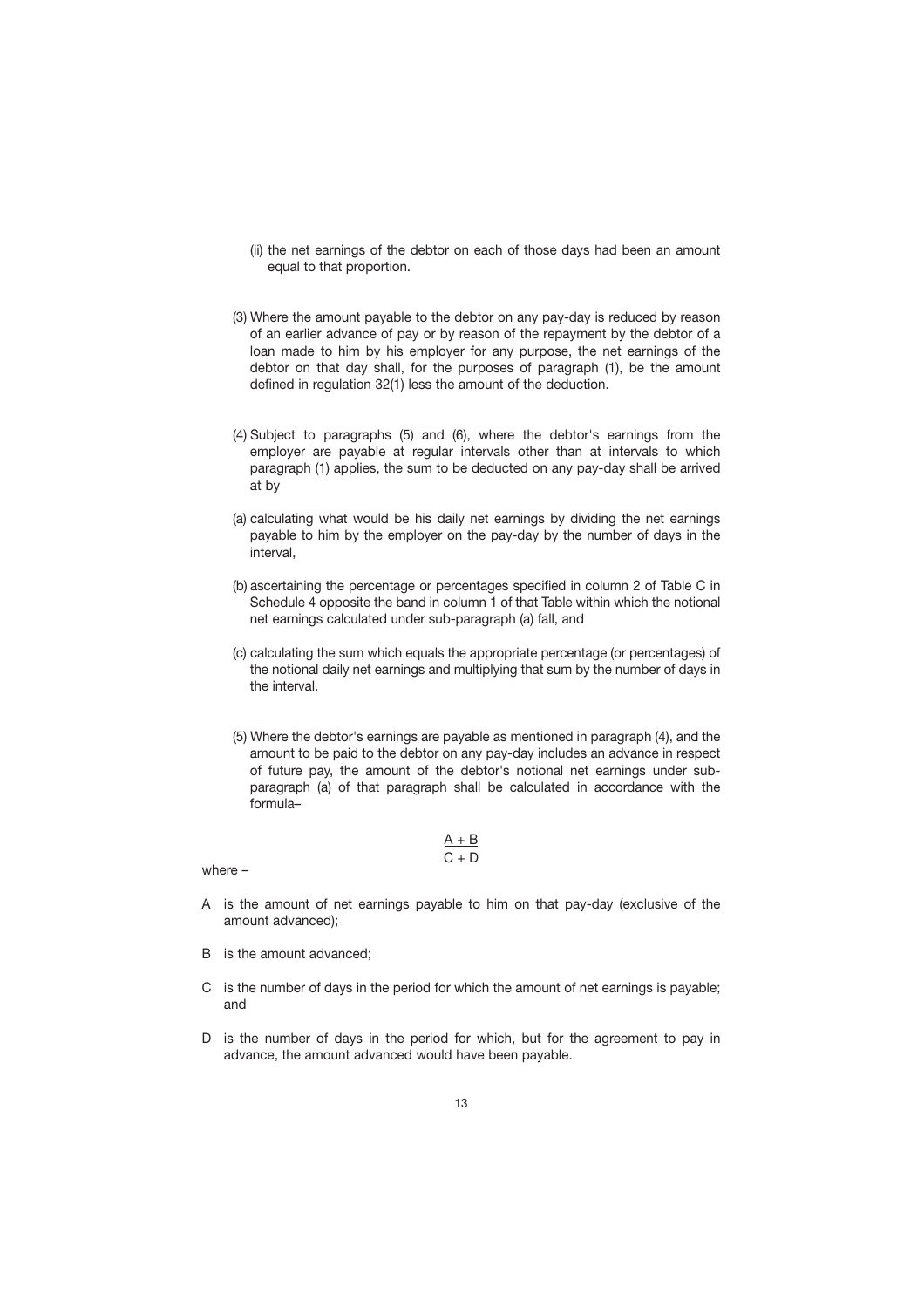- (ii) the net earnings of the debtor on each of those days had been an amount equal to that proportion.
- (3) Where the amount payable to the debtor on any pay-day is reduced by reason of an earlier advance of pay or by reason of the repayment by the debtor of a loan made to him by his employer for any purpose, the net earnings of the debtor on that day shall, for the purposes of paragraph (1), be the amount defined in regulation 32(1) less the amount of the deduction.
- (4) Subject to paragraphs (5) and (6), where the debtor's earnings from the employer are payable at regular intervals other than at intervals to which paragraph (1) applies, the sum to be deducted on any pay-day shall be arrived at by
- (a) calculating what would be his daily net earnings by dividing the net earnings payable to him by the employer on the pay-day by the number of days in the interval,
- (b) ascertaining the percentage or percentages specified in column 2 of Table C in Schedule 4 opposite the band in column 1 of that Table within which the notional net earnings calculated under sub-paragraph (a) fall, and
- (c) calculating the sum which equals the appropriate percentage (or percentages) of the notional daily net earnings and multiplying that sum by the number of days in the interval.
- (5) Where the debtor's earnings are payable as mentioned in paragraph (4), and the amount to be paid to the debtor on any pay-day includes an advance in respect of future pay, the amount of the debtor's notional net earnings under subparagraph (a) of that paragraph shall be calculated in accordance with the formula–

$$
\frac{A+B}{C+D}
$$

where –

- A is the amount of net earnings payable to him on that pay-day (exclusive of the amount advanced);
- B is the amount advanced;
- C is the number of days in the period for which the amount of net earnings is payable; and
- D is the number of days in the period for which, but for the agreement to pay in advance, the amount advanced would have been payable.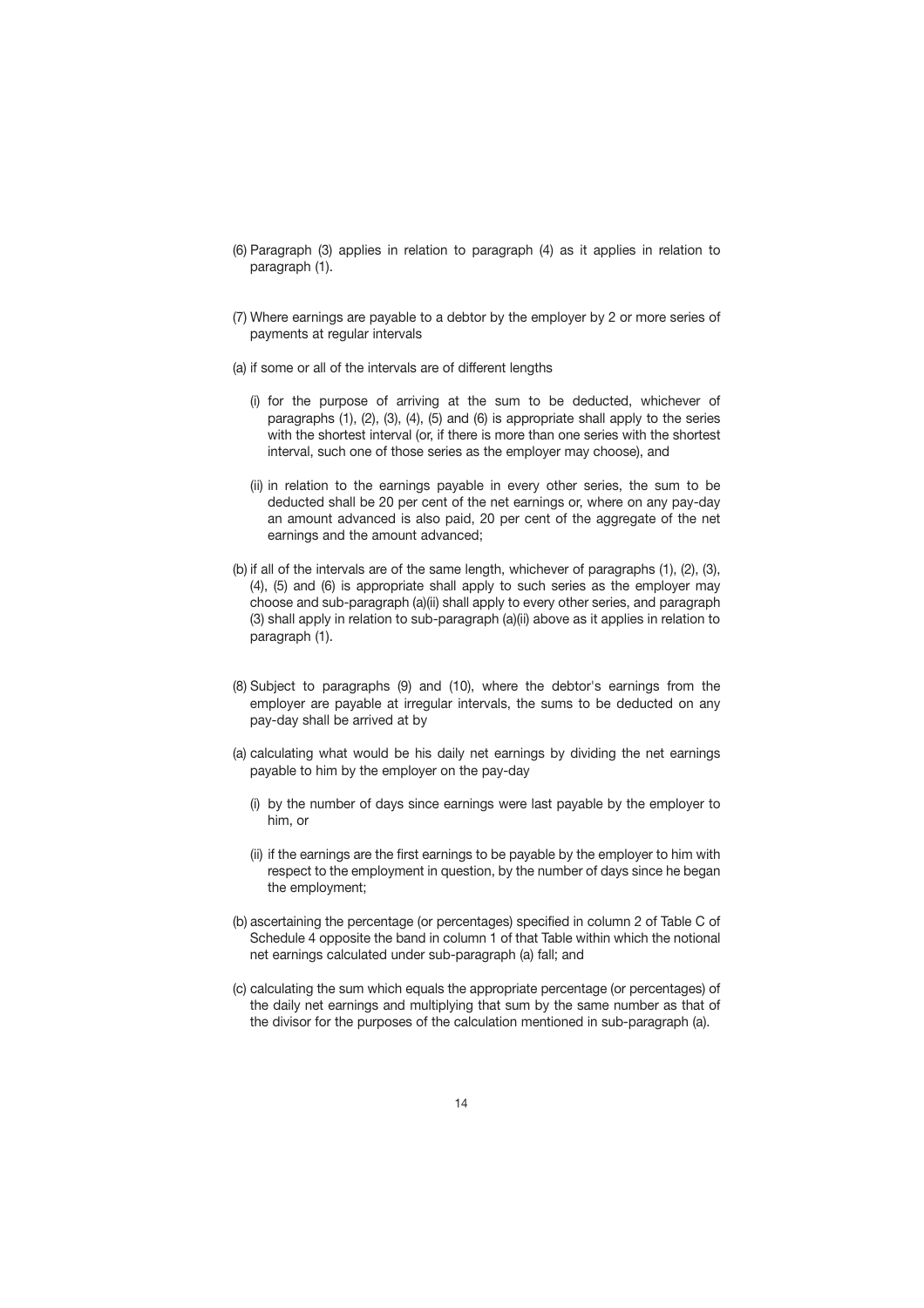- (6) Paragraph (3) applies in relation to paragraph (4) as it applies in relation to paragraph (1).
- (7) Where earnings are payable to a debtor by the employer by 2 or more series of payments at regular intervals
- (a) if some or all of the intervals are of different lengths
	- (i) for the purpose of arriving at the sum to be deducted, whichever of paragraphs (1), (2), (3), (4), (5) and (6) is appropriate shall apply to the series with the shortest interval (or, if there is more than one series with the shortest interval, such one of those series as the employer may choose), and
	- (ii) in relation to the earnings payable in every other series, the sum to be deducted shall be 20 per cent of the net earnings or, where on any pay-day an amount advanced is also paid, 20 per cent of the aggregate of the net earnings and the amount advanced;
- (b) if all of the intervals are of the same length, whichever of paragraphs (1), (2), (3), (4), (5) and (6) is appropriate shall apply to such series as the employer may choose and sub-paragraph (a)(ii) shall apply to every other series, and paragraph (3) shall apply in relation to sub-paragraph (a)(ii) above as it applies in relation to paragraph (1).
- (8) Subject to paragraphs (9) and (10), where the debtor's earnings from the employer are payable at irregular intervals, the sums to be deducted on any pay-day shall be arrived at by
- (a) calculating what would be his daily net earnings by dividing the net earnings payable to him by the employer on the pay-day
	- (i) by the number of days since earnings were last payable by the employer to him, or
	- (ii) if the earnings are the first earnings to be payable by the employer to him with respect to the employment in question, by the number of days since he began the employment;
- (b) ascertaining the percentage (or percentages) specified in column 2 of Table C of Schedule 4 opposite the band in column 1 of that Table within which the notional net earnings calculated under sub-paragraph (a) fall; and
- (c) calculating the sum which equals the appropriate percentage (or percentages) of the daily net earnings and multiplying that sum by the same number as that of the divisor for the purposes of the calculation mentioned in sub-paragraph (a).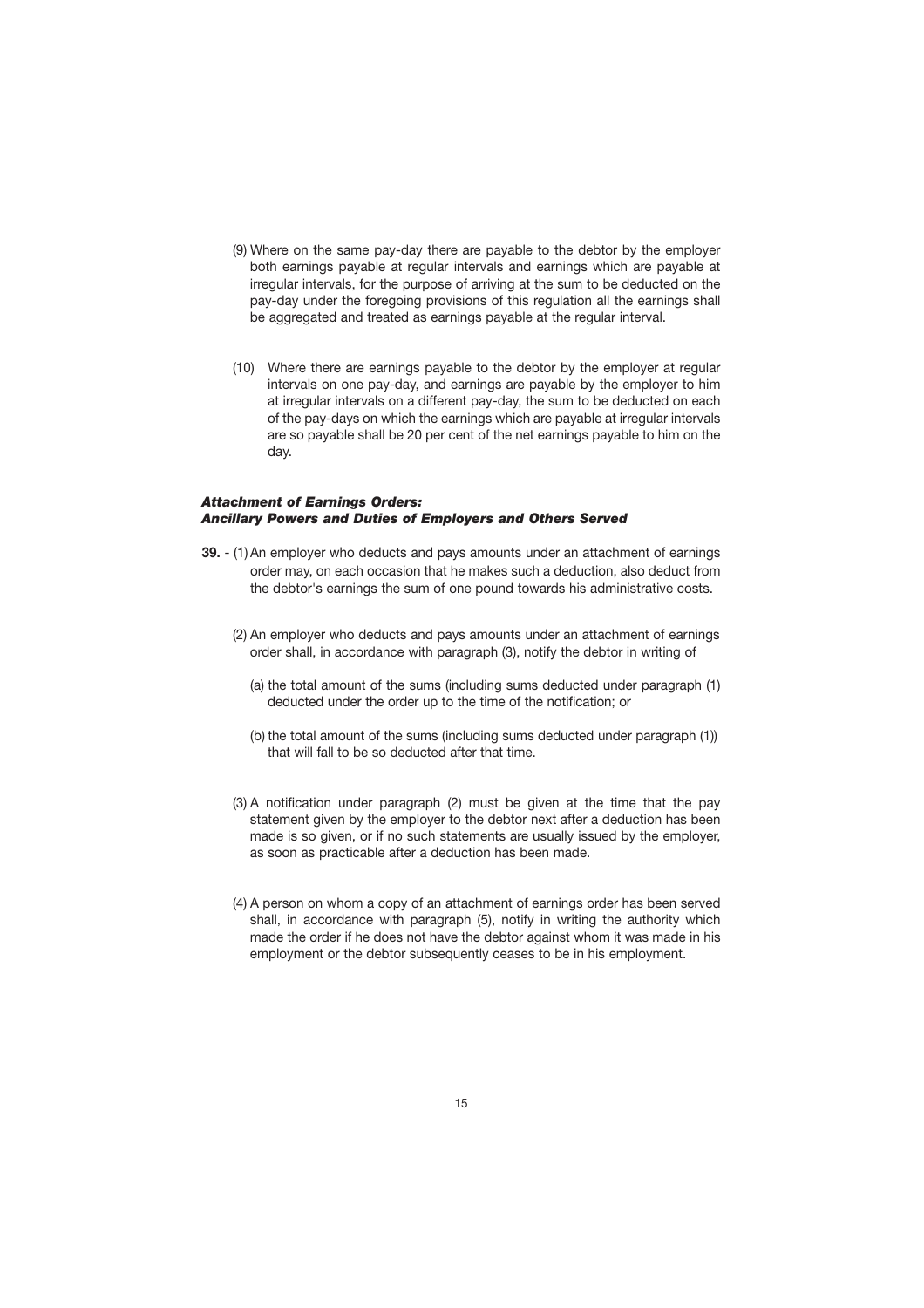- (9) Where on the same pay-day there are payable to the debtor by the employer both earnings payable at regular intervals and earnings which are payable at irregular intervals, for the purpose of arriving at the sum to be deducted on the pay-day under the foregoing provisions of this regulation all the earnings shall be aggregated and treated as earnings payable at the regular interval.
- (10) Where there are earnings payable to the debtor by the employer at regular intervals on one pay-day, and earnings are payable by the employer to him at irregular intervals on a different pay-day, the sum to be deducted on each of the pay-days on which the earnings which are payable at irregular intervals are so payable shall be 20 per cent of the net earnings payable to him on the day.

#### *Attachment of Earnings Orders: Ancillary Powers and Duties of Employers and Others Served*

- **39.**  (1) An employer who deducts and pays amounts under an attachment of earnings order may, on each occasion that he makes such a deduction, also deduct from the debtor's earnings the sum of one pound towards his administrative costs.
	- (2) An employer who deducts and pays amounts under an attachment of earnings order shall, in accordance with paragraph (3), notify the debtor in writing of
		- (a) the total amount of the sums (including sums deducted under paragraph (1) deducted under the order up to the time of the notification; or
		- (b) the total amount of the sums (including sums deducted under paragraph (1)) that will fall to be so deducted after that time.
	- (3) A notification under paragraph (2) must be given at the time that the pay statement given by the employer to the debtor next after a deduction has been made is so given, or if no such statements are usually issued by the employer, as soon as practicable after a deduction has been made.
	- (4) A person on whom a copy of an attachment of earnings order has been served shall, in accordance with paragraph (5), notify in writing the authority which made the order if he does not have the debtor against whom it was made in his employment or the debtor subsequently ceases to be in his employment.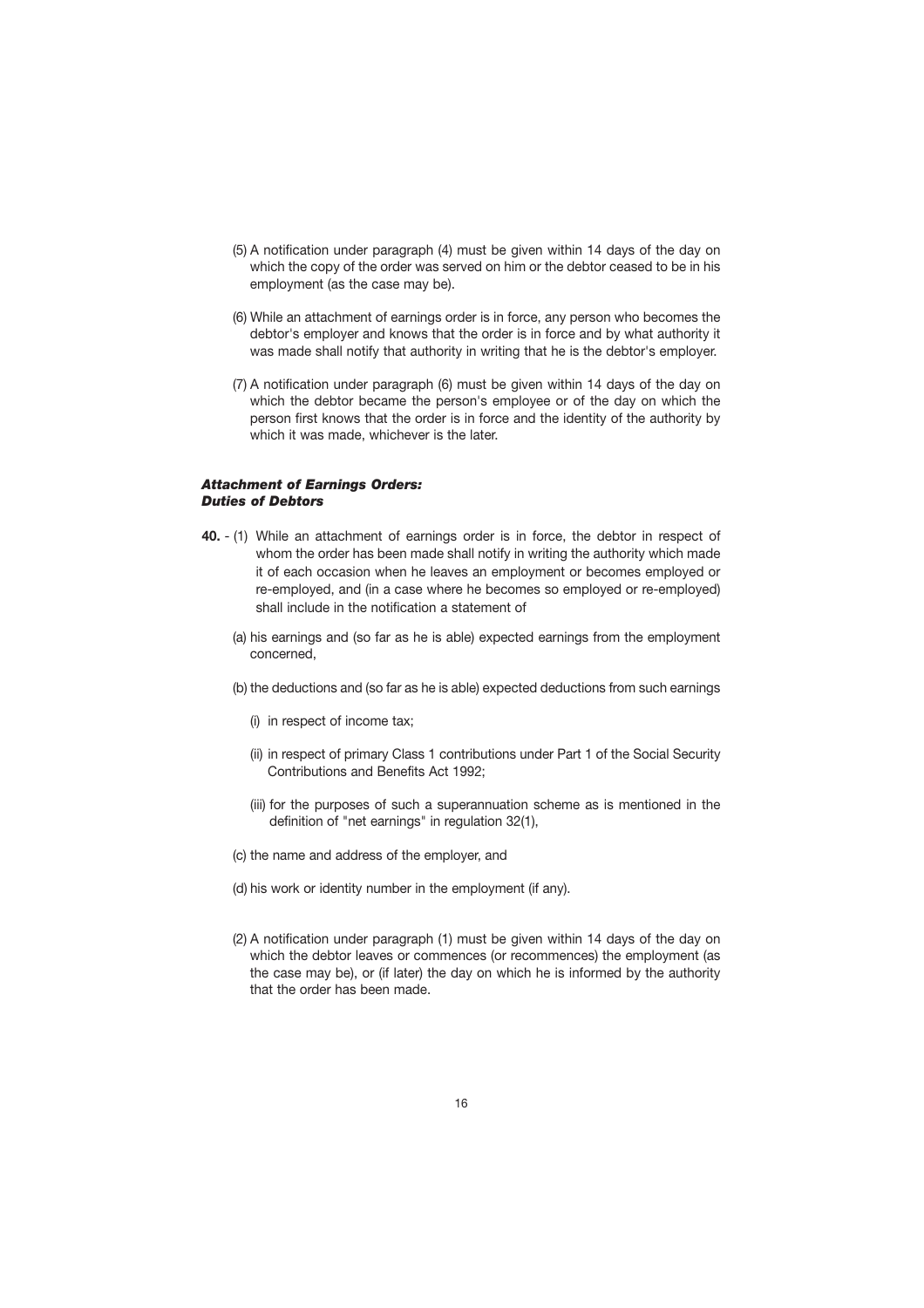- (5) A notification under paragraph (4) must be given within 14 days of the day on which the copy of the order was served on him or the debtor ceased to be in his employment (as the case may be).
- (6) While an attachment of earnings order is in force, any person who becomes the debtor's employer and knows that the order is in force and by what authority it was made shall notify that authority in writing that he is the debtor's employer.
- (7) A notification under paragraph (6) must be given within 14 days of the day on which the debtor became the person's employee or of the day on which the person first knows that the order is in force and the identity of the authority by which it was made, whichever is the later.

#### *Attachment of Earnings Orders: Duties of Debtors*

- **40.**  (1) While an attachment of earnings order is in force, the debtor in respect of whom the order has been made shall notify in writing the authority which made it of each occasion when he leaves an employment or becomes employed or re-employed, and (in a case where he becomes so employed or re-employed) shall include in the notification a statement of
	- (a) his earnings and (so far as he is able) expected earnings from the employment concerned,
	- (b) the deductions and (so far as he is able) expected deductions from such earnings
		- (i) in respect of income tax;
		- (ii) in respect of primary Class 1 contributions under Part 1 of the Social Security Contributions and Benefits Act 1992;
		- (iii) for the purposes of such a superannuation scheme as is mentioned in the definition of "net earnings" in regulation 32(1),
	- (c) the name and address of the employer, and
	- (d) his work or identity number in the employment (if any).
	- (2) A notification under paragraph (1) must be given within 14 days of the day on which the debtor leaves or commences (or recommences) the employment (as the case may be), or (if later) the day on which he is informed by the authority that the order has been made.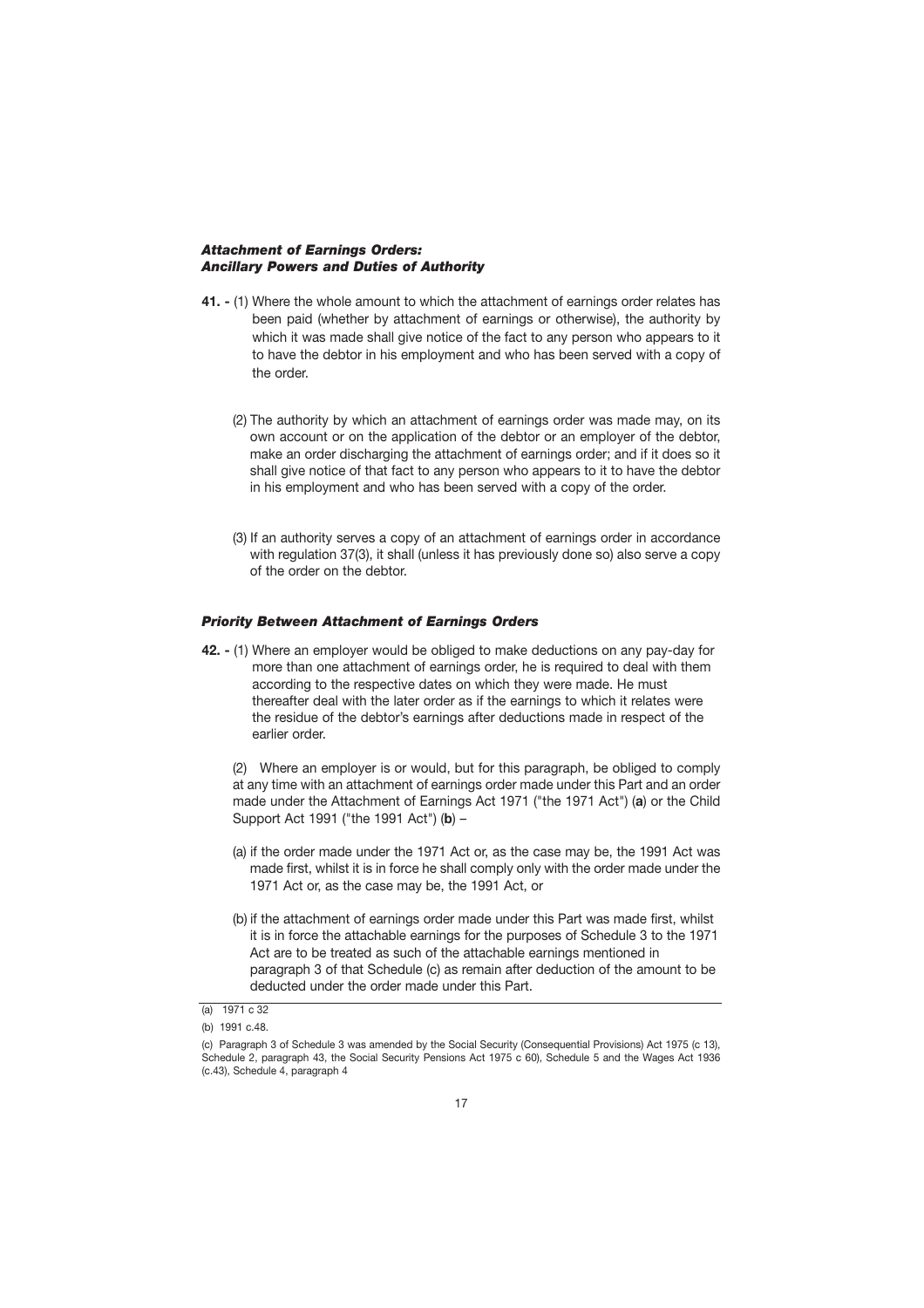#### <span id="page-18-0"></span>*Attachment of Earnings Orders: Ancillary Powers and Duties of Authority*

- **41. -** (1) Where the whole amount to which the attachment of earnings order relates has been paid (whether by attachment of earnings or otherwise), the authority by which it was made shall give notice of the fact to any person who appears to it to have the debtor in his employment and who has been served with a copy of the order.
	- (2) The authority by which an attachment of earnings order was made may, on its own account or on the application of the debtor or an employer of the debtor, make an order discharging the attachment of earnings order; and if it does so it shall give notice of that fact to any person who appears to it to have the debtor in his employment and who has been served with a copy of the order.
	- (3) If an authority serves a copy of an attachment of earnings order in accordance with regulation 37(3), it shall (unless it has previously done so) also serve a copy of the order on the debtor.

#### *Priority Between Attachment of Earnings Orders*

**42. -** (1) Where an employer would be obliged to make deductions on any pay-day for more than one attachment of earnings order, he is required to deal with them according to the respective dates on which they were made. He must thereafter deal with the later order as if the earnings to which it relates were the residue of the debtor's earnings after deductions made in respect of the earlier order.

(2) Where an employer is or would, but for this paragraph, be obliged to comply at any time with an attachment of earnings order made under this Part and an order made under the Attachment of Earnings Act 1971 ("the 1971 Act") (**a**) or the Child Support Act 1991 ("the 1991 Act") (**b**) –

- (a) if the order made under the 1971 Act or, as the case may be, the 1991 Act was made first, whilst it is in force he shall comply only with the order made under the 1971 Act or, as the case may be, the 1991 Act, or
- (b) if the attachment of earnings order made under this Part was made first, whilst it is in force the attachable earnings for the purposes of Schedule 3 to the 1971 Act are to be treated as such of the attachable earnings mentioned in paragraph 3 of that Schedule (c) as remain after deduction of the amount to be deducted under the order made under this Part.

<sup>(</sup>a) 1971 c 32

<sup>(</sup>b) 1991 c.48.

<sup>(</sup>c) Paragraph 3 of Schedule 3 was amended by the Social Security (Consequential Provisions) Act 1975 (c 13), Schedule 2, paragraph 43, the Social Security Pensions Act 1975 c 60), Schedule 5 and the Wages Act 1936 (c.43), Schedule 4, paragraph 4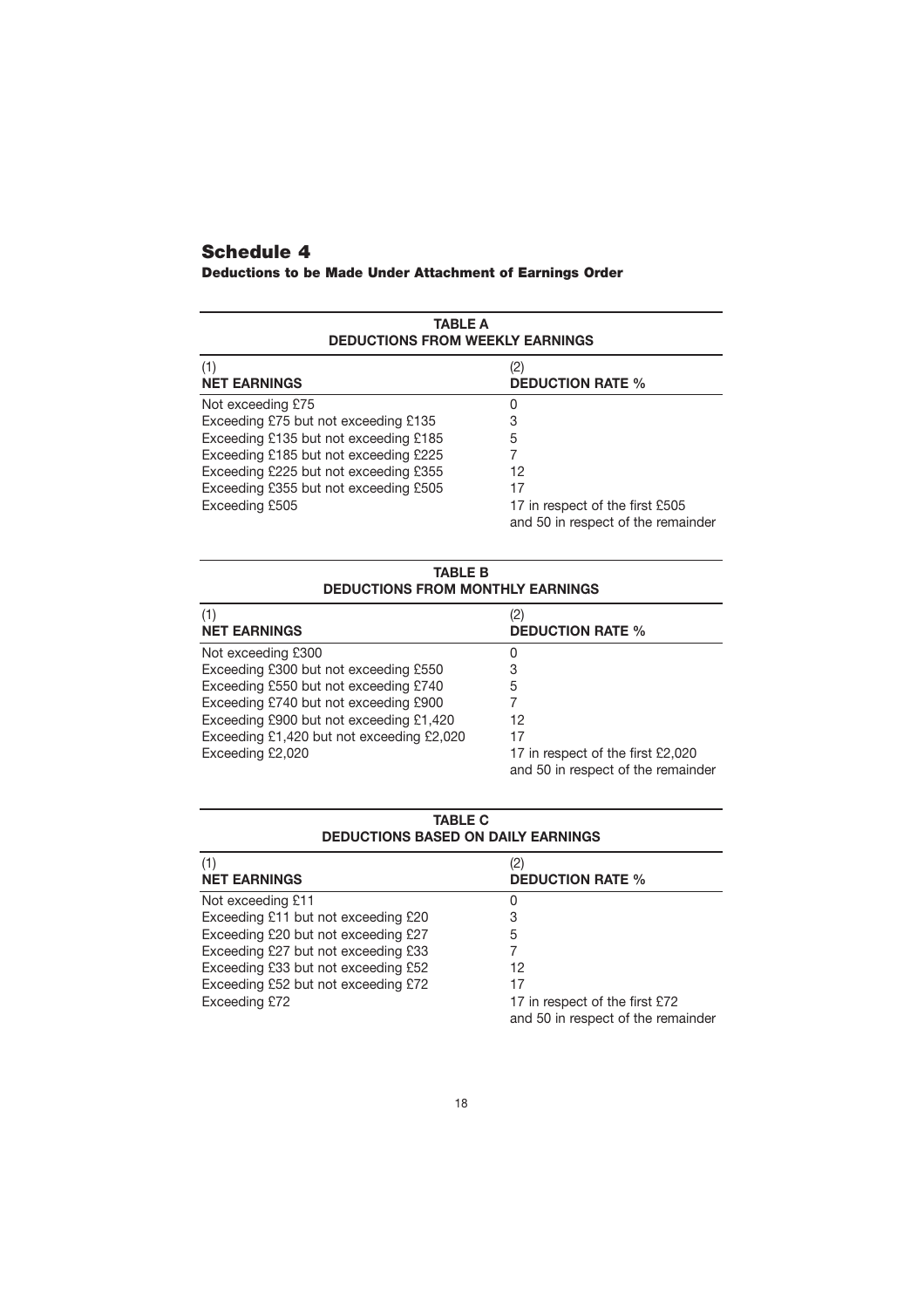## **[Schedule 4](#page-5-0)**

| <b>Deductions to be Made Under Attachment of Earnings Order</b> |  |  |
|-----------------------------------------------------------------|--|--|
|-----------------------------------------------------------------|--|--|

| <b>TABLE A</b><br><b>DEDUCTIONS FROM WEEKLY EARNINGS</b> |                                    |  |  |
|----------------------------------------------------------|------------------------------------|--|--|
| (1)                                                      | 2)                                 |  |  |
| <b>NET EARNINGS</b>                                      | <b>DEDUCTION RATE %</b>            |  |  |
| Not exceeding £75                                        | O                                  |  |  |
| Exceeding £75 but not exceeding £135                     | 3                                  |  |  |
| Exceeding £135 but not exceeding £185                    | 5                                  |  |  |
| Exceeding £185 but not exceeding £225                    | 12                                 |  |  |
| Exceeding £225 but not exceeding £355                    | 17                                 |  |  |
| Exceeding £355 but not exceeding £505                    | 17 in respect of the first £505    |  |  |
| Exceeding £505                                           | and 50 in respect of the remainder |  |  |

#### **TABLE B DEDUCTIONS FROM MONTHLY EARNINGS**

| (1)                                       | '2)                                                                     |
|-------------------------------------------|-------------------------------------------------------------------------|
| <b>NET EARNINGS</b>                       | <b>DEDUCTION RATE %</b>                                                 |
| Not exceeding £300                        | 0                                                                       |
| Exceeding £300 but not exceeding £550     |                                                                         |
| Exceeding £550 but not exceeding £740     | 5                                                                       |
| Exceeding £740 but not exceeding £900     |                                                                         |
| Exceeding £900 but not exceeding £1,420   | 12                                                                      |
| Exceeding £1,420 but not exceeding £2,020 | 17                                                                      |
| Exceeding £2,020                          | 17 in respect of the first £2,020<br>and 50 in respect of the remainder |

| <b>DEDUCTIONS BASED ON DAILY EARNINGS</b> |                                                                      |  |
|-------------------------------------------|----------------------------------------------------------------------|--|
| (1)<br><b>NET EARNINGS</b>                | (2)<br><b>DEDUCTION RATE %</b>                                       |  |
| Not exceeding £11                         | 0                                                                    |  |
| Exceeding £11 but not exceeding £20       | 3                                                                    |  |
| Exceeding £20 but not exceeding £27       | 5                                                                    |  |
| Exceeding £27 but not exceeding £33       |                                                                      |  |
| Exceeding £33 but not exceeding £52       | 12                                                                   |  |
| Exceeding £52 but not exceeding £72       |                                                                      |  |
| Exceeding £72                             | 17 in respect of the first £72<br>and 50 in respect of the remainder |  |

## **TABLE C**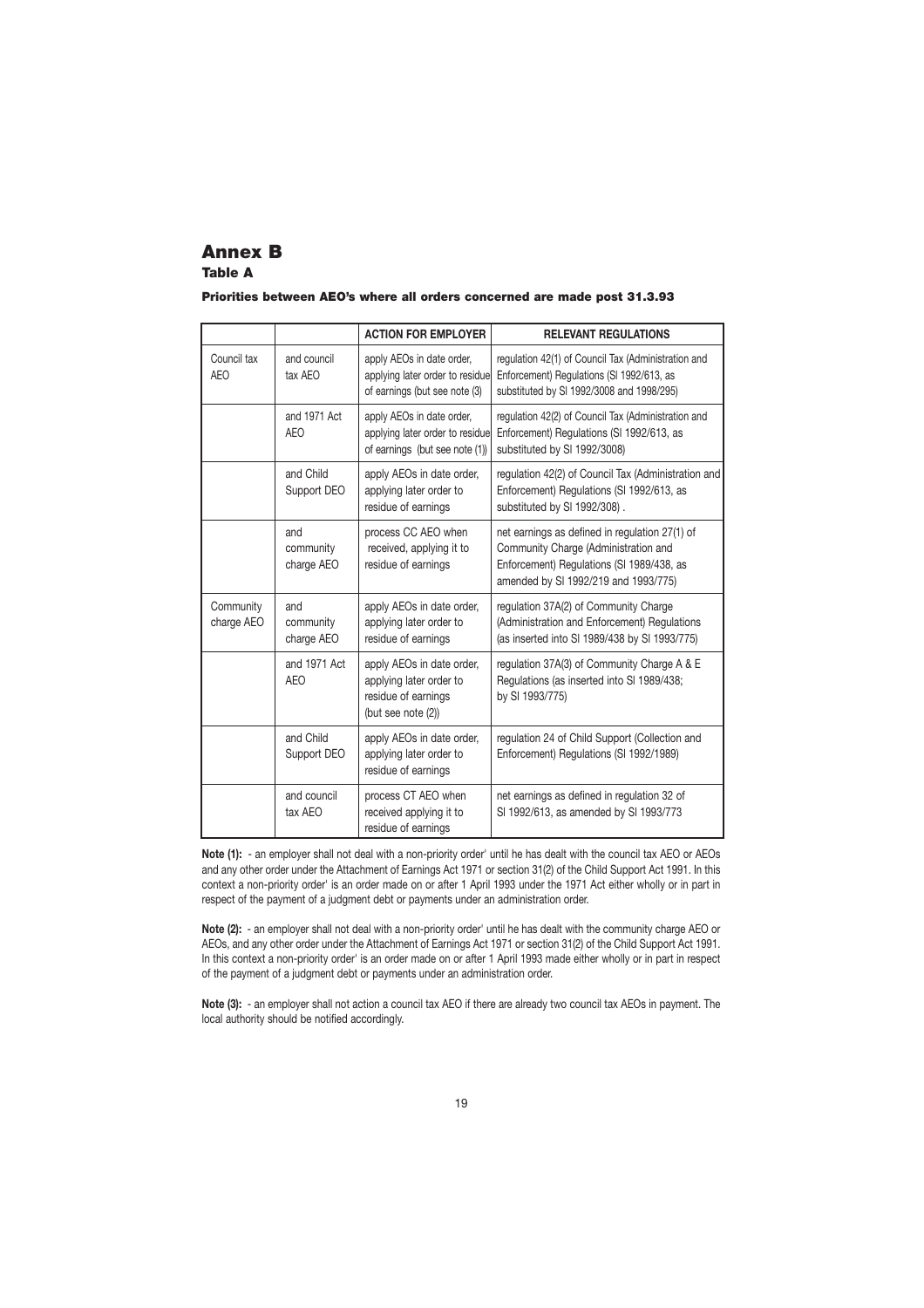#### **Annex B Table A**

#### **Priorities between AEO's where all orders concerned are made post 31.3.93**

|                           |                                | <b>ACTION FOR EMPLOYER</b>                                                                        | <b>RELEVANT REGULATIONS</b>                                                                                                                                                 |
|---------------------------|--------------------------------|---------------------------------------------------------------------------------------------------|-----------------------------------------------------------------------------------------------------------------------------------------------------------------------------|
| Council tax<br><b>AEO</b> | and council<br>tax AEO         | apply AEOs in date order,<br>applying later order to residue<br>of earnings (but see note (3)     | regulation 42(1) of Council Tax (Administration and<br>Enforcement) Regulations (SI 1992/613, as<br>substituted by SI 1992/3008 and 1998/295)                               |
|                           | and 1971 Act<br><b>AEO</b>     | apply AEOs in date order,<br>applying later order to residue<br>of earnings (but see note (1))    | regulation 42(2) of Council Tax (Administration and<br>Enforcement) Regulations (SI 1992/613, as<br>substituted by SI 1992/3008)                                            |
|                           | and Child<br>Support DEO       | apply AEOs in date order,<br>applying later order to<br>residue of earnings                       | regulation 42(2) of Council Tax (Administration and<br>Enforcement) Regulations (SI 1992/613, as<br>substituted by SI 1992/308).                                            |
|                           | and<br>community<br>charge AEO | process CC AEO when<br>received, applying it to<br>residue of earnings                            | net earnings as defined in regulation 27(1) of<br>Community Charge (Administration and<br>Enforcement) Regulations (SI 1989/438, as<br>amended by SI 1992/219 and 1993/775) |
| Community<br>charge AEO   | and<br>community<br>charge AEO | apply AEOs in date order,<br>applying later order to<br>residue of earnings                       | regulation 37A(2) of Community Charge<br>(Administration and Enforcement) Regulations<br>(as inserted into SI 1989/438 by SI 1993/775)                                      |
|                           | and 1971 Act<br><b>AEO</b>     | apply AEOs in date order,<br>applying later order to<br>residue of earnings<br>(but see note (2)) | regulation 37A(3) of Community Charge A & E<br>Regulations (as inserted into SI 1989/438;<br>by SI 1993/775)                                                                |
|                           | and Child<br>Support DEO       | apply AEOs in date order,<br>applying later order to<br>residue of earnings                       | regulation 24 of Child Support (Collection and<br>Enforcement) Regulations (SI 1992/1989)                                                                                   |
|                           | and council<br>tax AEO         | process CT AEO when<br>received applying it to<br>residue of earnings                             | net earnings as defined in regulation 32 of<br>SI 1992/613, as amended by SI 1993/773                                                                                       |

**Note (1):** - an employer shall not deal with a non-priority order' until he has dealt with the council tax AEO or AEOs and any other order under the Attachment of Earnings Act 1971 or section 31(2) of the Child Support Act 1991. In this context a non-priority order' is an order made on or after 1 April 1993 under the 1971 Act either wholly or in part in respect of the payment of a judgment debt or payments under an administration order.

**Note (2):** - an employer shall not deal with a non-priority order' until he has dealt with the community charge AEO or AEOs, and any other order under the Attachment of Earnings Act 1971 or section 31(2) of the Child Support Act 1991. In this context a non-priority order' is an order made on or after 1 April 1993 made either wholly or in part in respect of the payment of a judgment debt or payments under an administration order.

**Note (3):** - an employer shall not action a council tax AEO if there are already two council tax AEOs in payment. The local authority should be notified accordingly.